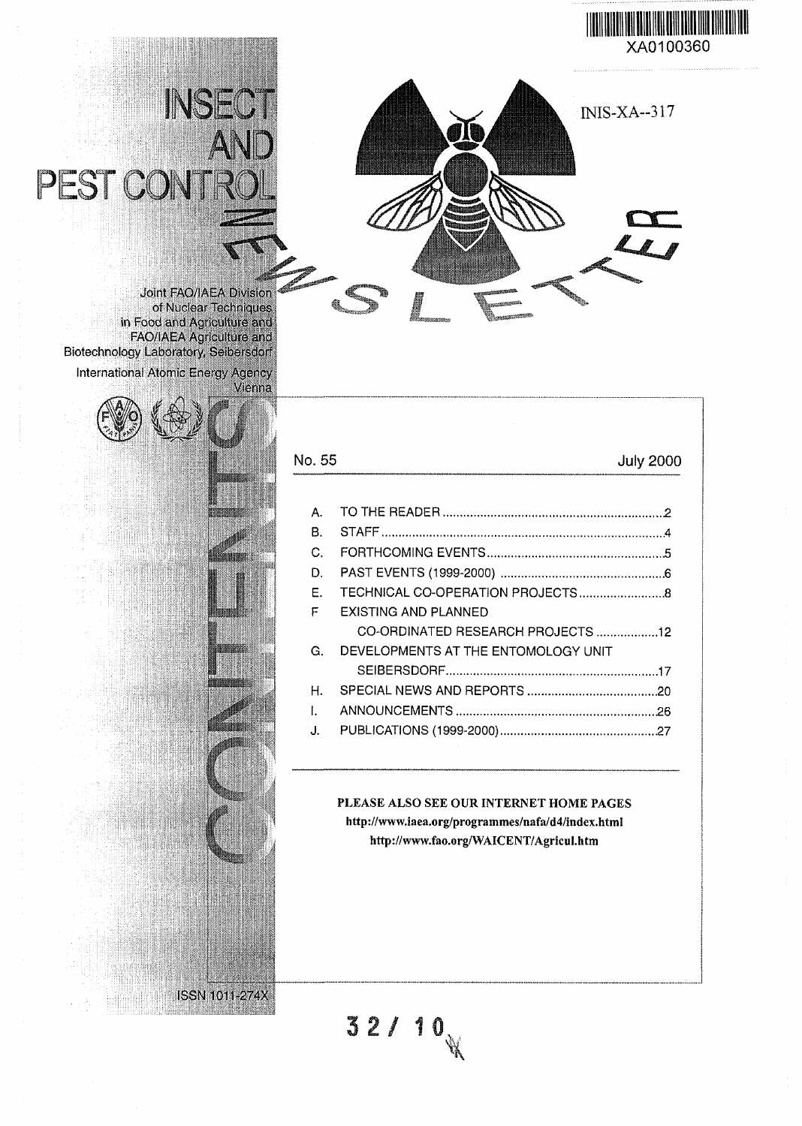



Joint FAO/IAEA Division of Nuclear Techniques in Food and Agriculture and I FAO/IAEA Agriculture and Biotechnology Laboratory, Seibersdorf International Atomic Energy Agency

PEST CON

INSEC



ISSN1011-274X

# No. 55

# July 2000

| A. |                                     |
|----|-------------------------------------|
| В. |                                     |
| C. |                                     |
| D. |                                     |
| E. |                                     |
| F  | EXISTING AND PLANNED                |
|    | CO-ORDINATED RESEARCH PROJECTS 12   |
| G. | DEVELOPMENTS AT THE ENTOMOLOGY UNIT |
|    |                                     |
| Η. |                                     |
| I. |                                     |
| J. |                                     |
|    |                                     |

# PLEASE ALSO SEE OUR INTERNET HOME PAGES http://www.iaea.org/programmes/nafa/d4/index.html

http://www.fao.org/WAICENT/Agricul.htm

**3 2 / 10**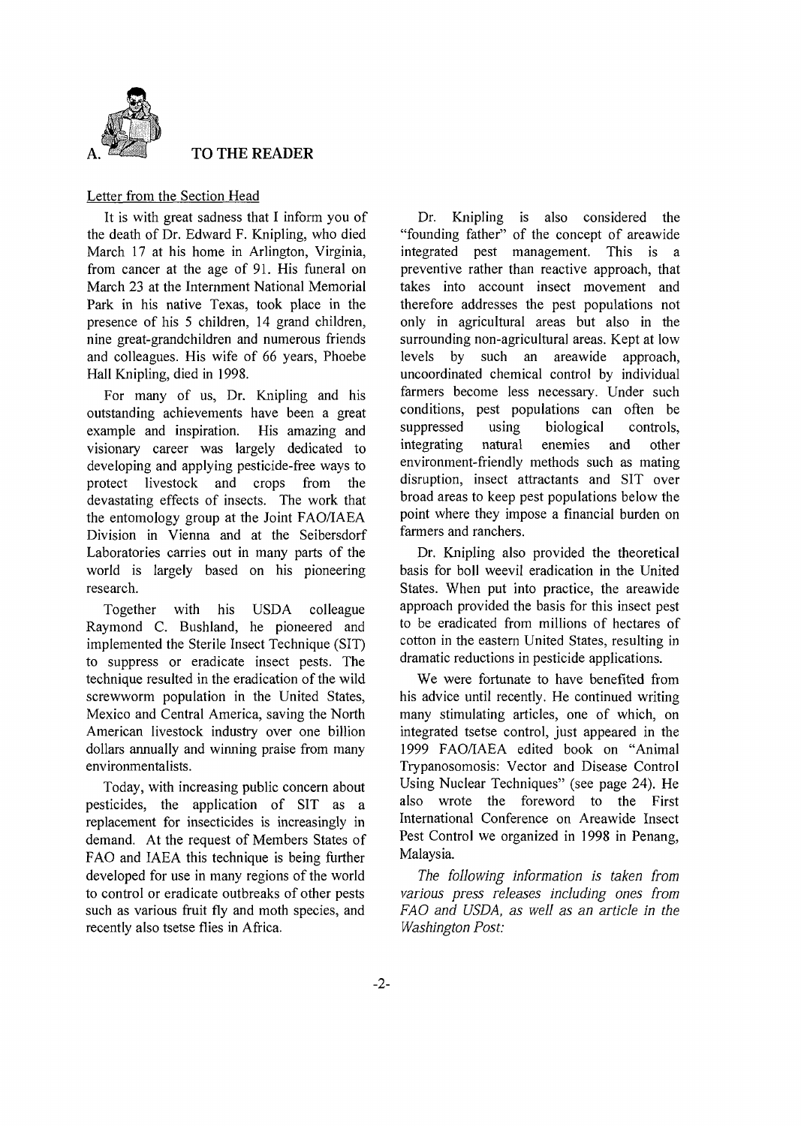

#### TO THE READER

#### Letter from the Section Head

It is with great sadness that I inform you of the death of Dr. Edward F. Knipling, who died March 17 at his home in Arlington, Virginia, from cancer at the age of 91. His funeral on March 23 at the Internment National Memorial Park in his native Texas, took place in the presence of his 5 children, 14 grand children, nine great-grandchildren and numerous friends and colleagues. His wife of 66 years, Phoebe Hall Knipling, died in 1998.

For many of us, Dr. Knipling and his outstanding achievements have been a great example and inspiration. His amazing and visionary career was largely dedicated to developing and applying pesticide-free ways to protect livestock and crops from the devastating effects of insects. The work that the entomology group at the Joint FAO/IAEA Division in Vienna and at the Seibersdorf Laboratories carries out in many parts of the world is largely based on his pioneering research.

Together with his USDA colleague Raymond C. Bushland, he pioneered and implemented the Sterile Insect Technique (SIT) to suppress or eradicate insect pests. The technique resulted in the eradication of the wild screwworm population in the United States, Mexico and Central America, saving the North American livestock industry over one billion dollars annually and winning praise from many environmentalists.

Today, with increasing public concern about pesticides, the application of SIT as a replacement for insecticides is increasingly in demand. At the request of Members States of FAO and IAEA this technique is being further developed for use in many regions of the world to control or eradicate outbreaks of other pests such as various fruit fly and moth species, and recently also tsetse flies in Africa.

Dr. Knipling is also considered the "founding father" of the concept of areawide integrated pest management. This is a preventive rather than reactive approach, that takes into account insect movement and therefore addresses the pest populations not only in agricultural areas but also in the surrounding non-agricultural areas. Kept at low levels by such an areawide approach, uncoordinated chemical control by individual farmers become less necessary. Under such conditions, pest populations can often be suppressed using biological controls, integrating natural enemies and other environment-friendly methods such as mating disruption, insect attractants and SIT over broad areas to keep pest populations below the point where they impose a financial burden on farmers and ranchers.

Dr. Knipling also provided the theoretical basis for boll weevil eradication in the United States. When put into practice, the areawide approach provided the basis for this insect pest to be eradicated from millions of hectares of cotton in the eastern United States, resulting in dramatic reductions in pesticide applications.

We were fortunate to have benefited from his advice until recently. He continued writing many stimulating articles, one of which, on integrated tsetse control, just appeared in the 1999 FAO/IAEA edited book on "Animal Trypanosomosis: Vector and Disease Control Using Nuclear Techniques" (see page 24). He also wrote the foreword to the First International Conference on Areawide Insect Pest Control we organized in 1998 in Penang, Malaysia.

*The following information is taken from various press releases including ones from FAO and USDA, as well as an article in the Washington Post:*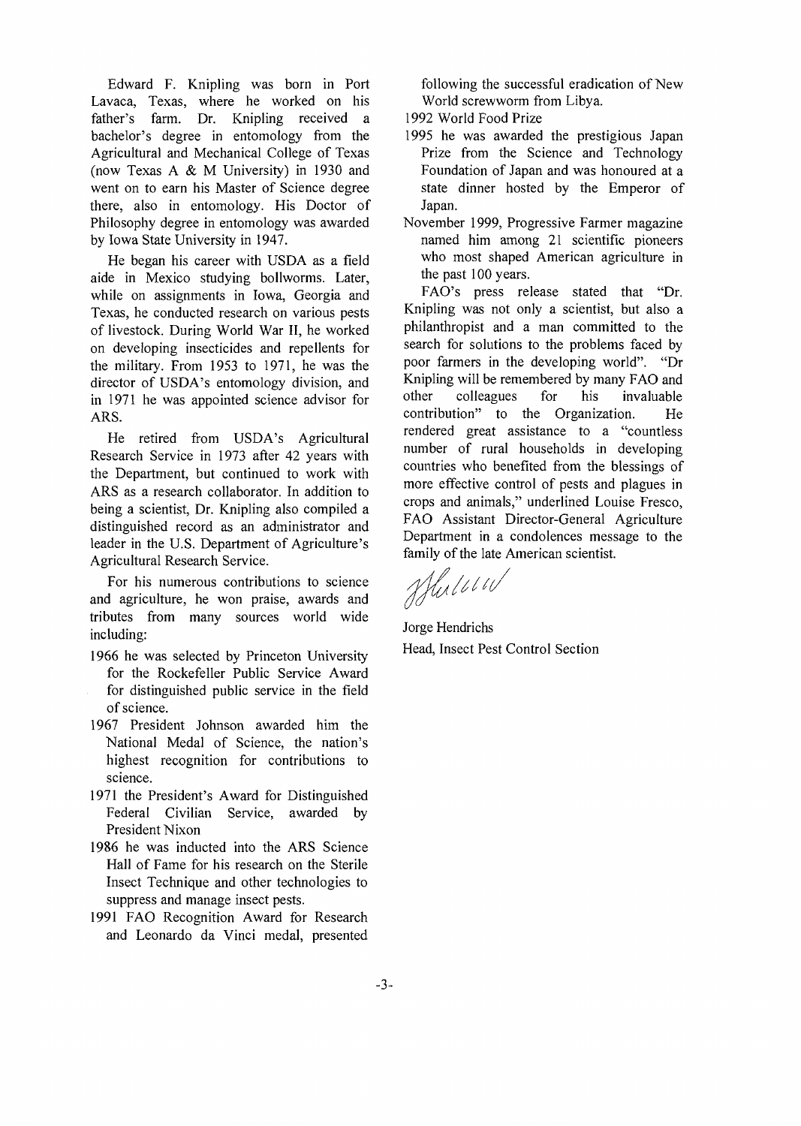Edward F. Knipling was born in Port Lavaca, Texas, where he worked on his father's farm. Dr. Knipling received a bachelor's degree in entomology from the Agricultural and Mechanical College of Texas (now Texas A & M University) in 1930 and went on to earn his Master of Science degree there, also in entomology. His Doctor of Philosophy degree in entomology was awarded by Iowa State University in 1947.

He began his career with USDA as a field aide in Mexico studying bollworms. Later, while on assignments in Iowa, Georgia and Texas, he conducted research on various pests of livestock. During World War II, he worked on developing insecticides and repellents for the military. From 1953 to 1971, he was the director of USDA's entomology division, and in 1971 he was appointed science advisor for ARS.

He retired from USDA's Agricultural Research Service in 1973 after 42 years with the Department, but continued to work with ARS as a research collaborator. In addition to being a scientist, Dr. Knipling also compiled a distinguished record as an administrator and leader in the U.S. Department of Agriculture's Agricultural Research Service.

For his numerous contributions to science and agriculture, he won praise, awards and tributes from many sources world wide including:

- 1966 he was selected by Princeton University for the Rockefeller Public Service Award for distinguished public service in the field of science.
- 1967 President Johnson awarded him the National Medal of Science, the nation's highest recognition for contributions to science.
- 1971 the President's Award for Distinguished Federal Civilian Service, awarded by President Nixon
- 1986 he was inducted into the ARS Science Hall of Fame for his research on the Sterile Insect Technique and other technologies to suppress and manage insect pests.
- 1991 FAO Recognition Award for Research and Leonardo da Vinci medal, presented

following the successful eradication of New World screwworm from Libya.

- 1992 World Food Prize
- 1995 he was awarded the prestigious Japan Prize from the Science and Technology Foundation of Japan and was honoured at a state dinner hosted by the Emperor of Japan.
- November 1999, Progressive Farmer magazine named him among 21 scientific pioneers who most shaped American agriculture in the past 100 years.

FAO's press release stated that "Dr. Knipling was not only a scientist, but also a philanthropist and a man committed to the search for solutions to the problems faced by poor farmers in the developing world". "Dr Knipling will be remembered by many FAO and other colleagues for his invaluable contribution" to the Organization. He rendered great assistance to a "countless number of rural households in developing countries who benefited from the blessings of more effective control of pests and plagues in crops and animals," underlined Louise Fresco, FAO Assistant Director-General Agriculture Department in a condolences message to the family of the late American scientist.

Hullow

Jorge Hendrichs Head, Insect Pest Control Section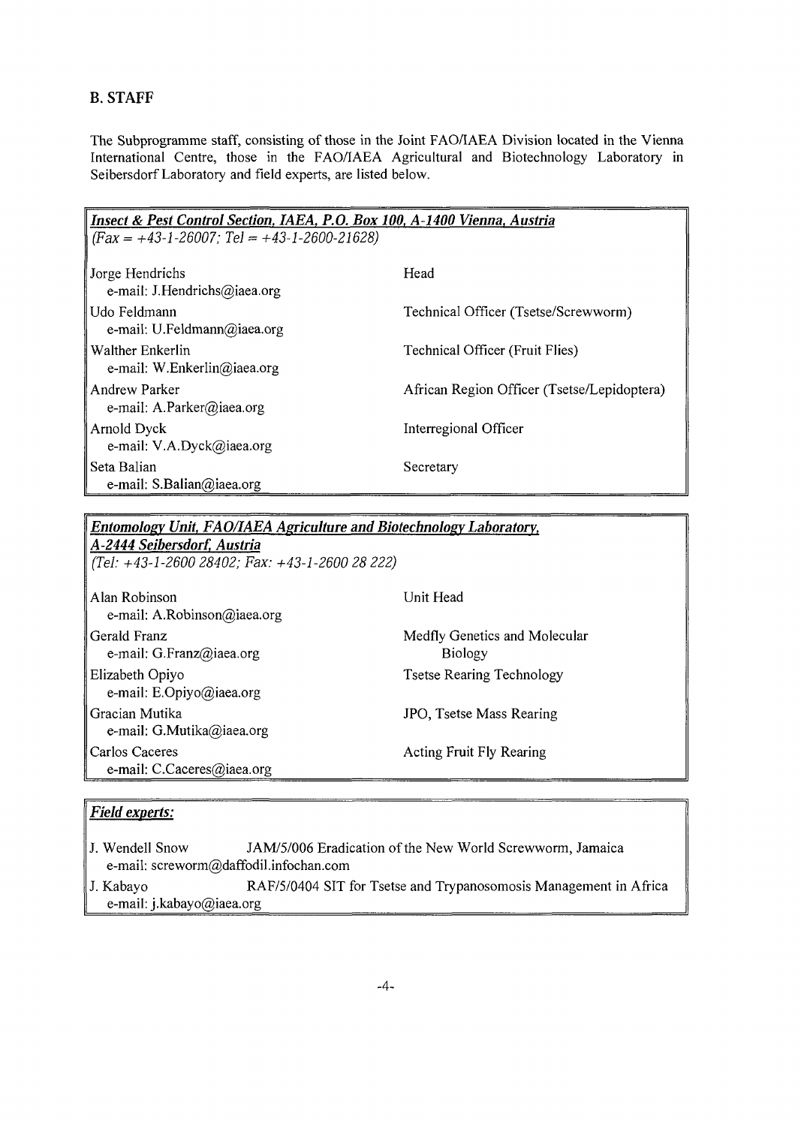# **B. STAFF**

The Subprogramme staff, consisting of those in the Joint FAO/IAEA Division located in the Vienna International Centre, those in the FAO/IAEA Agricultural and Biotechnology Laboratory in Seibersdorf Laboratory and field experts, are listed below.

| Insect & Pest Control Section, IAEA, P.O. Box 100, A-1400 Vienna, Austria<br>$(Fax = +43-1-26007; Tel = +43-1-2600-21628)$ |                                             |  |  |
|----------------------------------------------------------------------------------------------------------------------------|---------------------------------------------|--|--|
| Jorge Hendrichs<br>e-mail: J.Hendrichs@iaea.org                                                                            | Head                                        |  |  |
| l Udo Feldmann<br>e-mail: U.Feldmann@iaea.org                                                                              | Technical Officer (Tsetse/Screwworm)        |  |  |
| Walther Enkerlin<br>e-mail: W.Enkerlin@iaea.org                                                                            | Technical Officer (Fruit Flies)             |  |  |
| Andrew Parker<br>e-mail: A.Parker@iaea.org                                                                                 | African Region Officer (Tsetse/Lepidoptera) |  |  |
| Arnold Dyck<br>e-mail: V.A.Dyck@iaea.org                                                                                   | Interregional Officer                       |  |  |
| Seta Balian<br>e-mail: S.Balian@iaea.org                                                                                   | Secretary                                   |  |  |

# *Entomolosv Unit, FAO/IAEA Agriculture and Biotechnolosv Laboratory,*

*A-2444 Seibersdorf, Austria (Tel: +43-1-2600 28402; Fax: +43-1-2600 28 222)*

| Alan Robinson<br>e-mail: A.Robinson@iaea.org   | Unit Head                                       |
|------------------------------------------------|-------------------------------------------------|
| Gerald Franz<br>e-mail: G.Franz@iaea.org       | Medfly Genetics and Molecular<br><b>Biology</b> |
| Elizabeth Opiyo<br>e-mail: E.Opiyo@iaea.org    | <b>Tsetse Rearing Technology</b>                |
| Gracian Mutika<br>e-mail: G.Mutika@iaea.org    | JPO, Tsetse Mass Rearing                        |
| Carlos Caceres<br>e-mail: $C.Caceres@iaea.org$ | <b>Acting Fruit Fly Rearing</b>                 |

# *Field experts:*

- **J.** Wendell Snow JAM/5/006 Eradication of the New World Screwworm, Jamaica e-mail: screworm@daffodil.infochan.com
- J. Kabayo RAF/5/0404 SIT for Tsetse and Trypanosomosis Management in Africa e-mail: j.kabayo@iaea.org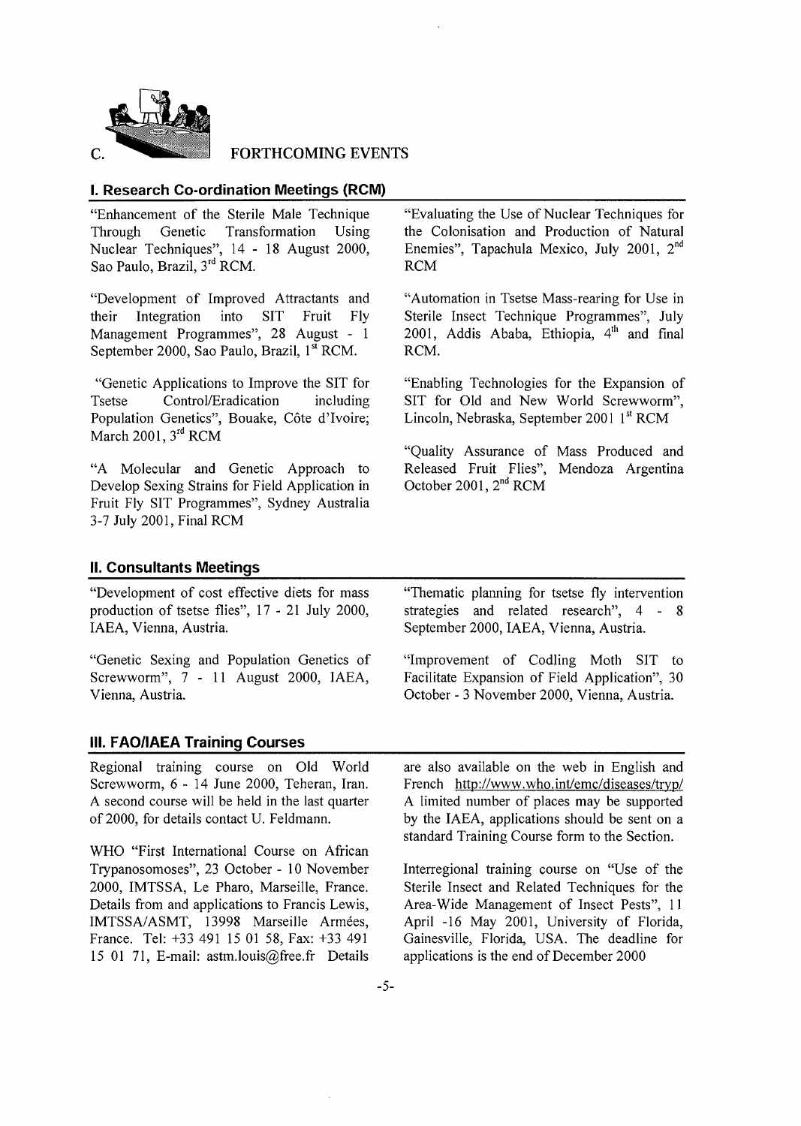

#### FORTHCOMING EVENTS

#### **I. Research Co-ordination Meetings (RCM)**

"Enhancement of the Sterile Male Technique Through Genetic Transformation Using Nuclear Techniques", 14 - 18 August 2000, Sao Paulo, Brazil, 3<sup>rd</sup> RCM.

"Development of Improved Attractants and their Integration into SIT Fruit Fly Management Programmes", 28 August - 1 September 2000, Sao Paulo, Brazil, 1<sup>st</sup> RCM.

"Genetic Applications to Improve the SIT for Tsetse Control/Eradication including Population Genetics", Bouake, Côte d'Ivoire; March 2001, 3<sup>rd</sup> RCM

"A Molecular and Genetic Approach to Develop Sexing Strains for Field Application in Fruit Fly SIT Programmes", Sydney Australia 3-7 July 2001, Final RCM

"Evaluating the Use of Nuclear Techniques for the Colonisation and Production of Natural Enemies", Tapachula Mexico, July 2001, 2<sup>nd</sup> RCM

"Automation in Tsetse Mass-rearing for Use in Sterile Insect Technique Programmes", July 2001, Addis Ababa, Ethiopia, <sup>4th</sup> and final RCM.

"Enabling Technologies for the Expansion of SIT for Old and New World Screwworm", Lincoln, Nebraska, September 2001 1st RCM

"Quality Assurance of Mass Produced and Released Fruit Flies", Mendoza Argentina October 2001, 2<sup>nd</sup> RCM

#### **II. Consultants Meetings**

"Development of cost effective diets for mass production of tsetse flies", 17 - 21 July 2000, IAEA, Vienna, Austria.

"Genetic Sexing and Population Genetics of Screwworm", 7 - 11 August 2000, IAEA, Vienna, Austria.

#### **III. FAO/IAEA Training Courses**

Regional training course on Old World Screwworm, 6 - 14 June 2000, Teheran, Iran. A second course will be held in the last quarter of 2000, for details contact U. Feldmann.

WHO "First International Course on African Trypanosomoses", 23 October - 10 November 2000, IMTSSA, Le Pharo, Marseille, France. Details from and applications to Francis Lewis, IMTSSA/ASMT, 13998 Marseille Armées, France. Tel: +33 491 15 01 58, Fax: +33 491 15 01 71, E-mail: astm.louis@free.fr Details "Thematic planning for tsetse fly intervention strategies and related research", 4- 8 September 2000, IAEA, Vienna, Austria.

"Improvement of Codling Moth SIT to Facilitate Expansion of Field Application", 30 October - 3 November 2000, Vienna, Austria.

are also available on the web in English and French http://www.who.int/emc/diseases/tryp/ A limited number of places may be supported by the IAEA, applications should be sent on a standard Training Course form to the Section.

Interregional training course on "Use of the Sterile Insect and Related Techniques for the Area-Wide Management of Insect Pests", 11 April -16 May 2001, University of Florida, Gainesville, Florida, USA. The deadline for applications is the end of December 2000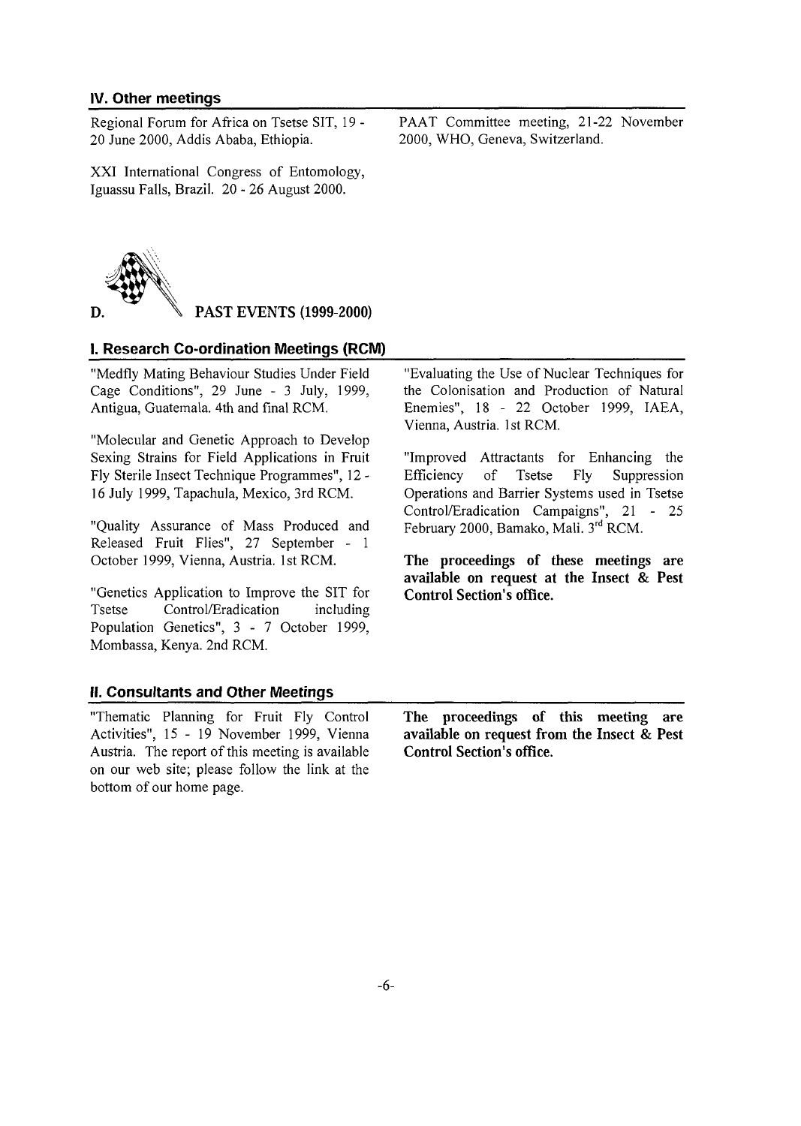### IV. Other meetings

Regional Forum for Africa on Tsetse SIT, 19 - 20 June 2000, Addis Ababa, Ethiopia.

XXI International Congress of Entomology, Iguassu Falls, Brazil. 20 - 26 August 2000.

PAAT Committee meeting, 21-22 November 2000, WHO, Geneva, Switzerland.



**PAST EVENTS (1999-2000)**

#### I. Research Co-ordination Meetings (RCM)

"Medfly Mating Behaviour Studies Under Field Cage Conditions", 29 June - 3 July, 1999, Antigua, Guatemala. 4th and final RCM.

"Molecular and Genetic Approach to Develop Sexing Strains for Field Applications in Fruit Fly Sterile Insect Technique Programmes", 12 - 16 July 1999, Tapachula, Mexico, 3rd RCM.

"Quality Assurance of Mass Produced and Released Fruit Flies", 27 September - 1 October 1999, Vienna, Austria. 1st RCM.

"Genetics Application to Improve the SIT for Tsetse Control/Eradication including Population Genetics", 3 - 7 October 1999, Mombassa, Kenya. 2nd RCM.

"Evaluating the Use of Nuclear Techniques for the Colonisation and Production of Natural Enemies", 18-2 2 October 1999, IAEA, Vienna, Austria. 1st RCM.

"Improved Attractants for Enhancing the Efficiency of Tsetse Fly Suppression Operations and Barrier Systems used in Tsetse Control/Eradication Campaigns", 21 - 25 February 2000, Bamako, Mali. 3rd RCM.

**The proceedings of these meetings are available on request at the Insect & Pest Control Section's office.**

#### II. Consultants and Other Meetings

"Thematic Planning for Fruit Fly Control Activities", 15 - 19 November 1999, Vienna Austria. The report of this meeting is available on our web site; please follow the link at the bottom of our home page.

**The proceedings of this meeting are available on request from the Insect & Pest Control Section's office.**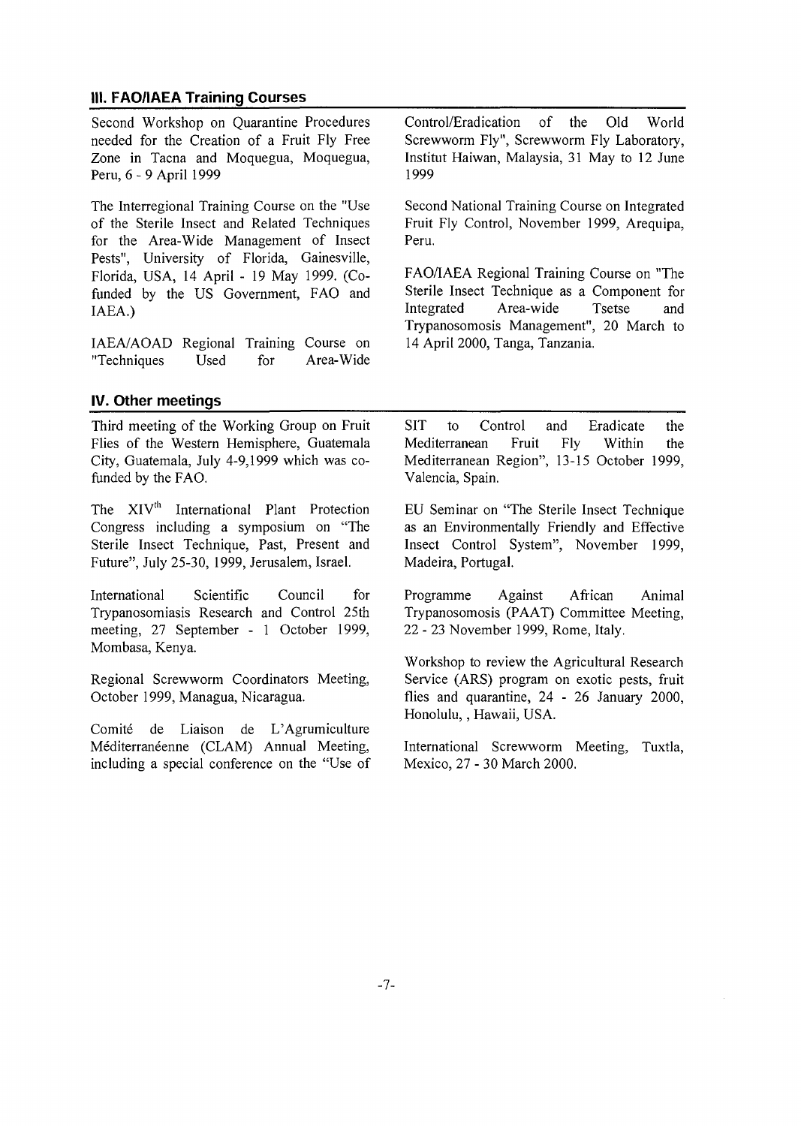# **111. FAQ/IAEA Training Courses**

Second Workshop on Quarantine Procedures needed for the Creation of a Fruit Fly Free Zone in Tacna and Moquegua, Moquegua, Peru, 6 - 9 April 1999

The Interregional Training Course on the "Use of the Sterile Insect and Related Techniques for the Area-Wide Management of Insect Pests", University of Florida, Gainesville, Florida, USA, 14 April - 19 May 1999. (Cofunded by the US Government, FAO and IAEA.)

IAEA/AOAD Regional Training Course on "Techniques Used for Area-Wide Control/Eradication of the Old World Screwworm Fly", Screwworm Fly Laboratory, Institut Haiwan, Malaysia, 31 May to 12 June 1999

Second National Training Course on Integrated Fruit Fly Control, November 1999, Arequipa, Peru.

FAO/IAEA Regional Training Course on "The Sterile Insect Technique as a Component for Integrated Area-wide Tsetse and Trypanosomosis Management", 20 March to 14 April 2000, Tanga, Tanzania.

## **IV. Other meetings**

Third meeting of the Working Group on Fruit Flies of the Western Hemisphere, Guatemala City, Guatemala, July 4-9,1999 which was cofunded by the FAO.

The XIV<sup>th</sup> International Plant Protection Congress including a symposium on "The Sterile Insect Technique, Past, Present and Future", July 25-30, 1999, Jerusalem, Israel.

International Scientific Council for Trypanosomiasis Research and Control 25th meeting, 27 September - 1 October 1999, Mombasa, Kenya.

Regional Screwworm Coordinators Meeting, October 1999, Managua, Nicaragua.

Comité de Liaison de L'Agrumiculture Méditerranéenne (CLAM) Annual Meeting, including a special conference on the "Use of SIT to Control and Eradicate the Mediterranean Fruit Fly Within the Mediterranean Region", 13-15 October 1999, Valencia, Spain.

EU Seminar on "The Sterile Insect Technique as an Environmentally Friendly and Effective Insect Control System", November 1999, Madeira, Portugal.

Programme Against African Animal Trypanosomosis (PAAT) Committee Meeting, 22 - 23 November 1999, Rome, Italy.

Workshop to review the Agricultural Research Service (ARS) program on exotic pests, fruit flies and quarantine, 24 - 26 January 2000, Honolulu,, Hawaii, USA.

International Screwworm Meeting, Tuxtla, Mexico, 27 - 30 March 2000.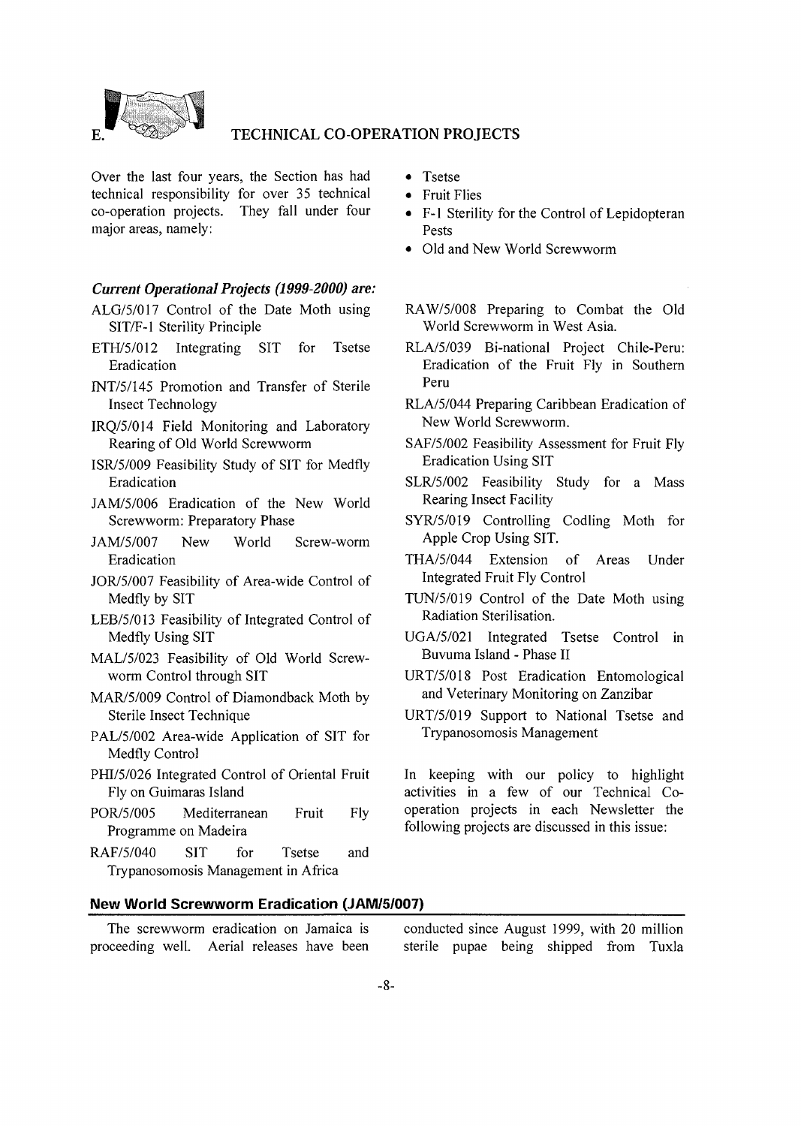

#### TECHNICAL CO-OPERATION PROJECTS

Over the last four years, the Section has had technical responsibility for over 35 technical co-operation projects. They fall under four major areas, namely:

#### *Current Operational Projects (1999-2000) are:*

- ALG/5/017 Control of the Date Moth using SIT/F-1 Sterility Principle
- ETH/5/012 Integrating SIT for Tsetse Eradication
- INT/5/145 Promotion and Transfer of Sterile Insect Technology
- IRQ/5/014 Field Monitoring and Laboratory Rearing of Old World Screwworm
- ISR/5/009 Feasibility Study of SIT for Medfly Eradication
- JAM/5/006 Eradication of the New World Screwworm: Preparatory Phase
- JAM/5/007 New World Screw-worm Eradication
- JOR/5/007 Feasibility of Area-wide Control of Medfly by SIT
- LEB/5/013 Feasibility of Integrated Control of Medfly Using SIT
- MAL/5/023 Feasibility of Old World Screwworm Control through SIT
- MAR/5/009 Control of Diamondback Moth by Sterile Insect Technique
- PAL/5/002 Area-wide Application of SIT for Medfly Control
- PHI/5/026 Integrated Control of Oriental Fruit Fly on Guimaras Island
- POR/5/005 Mediterranean Fruit Fly Programme on Madeira
- RAF/5/040 SIT for Tsetse and Trypanosomosis Management in Africa
- Tsetse
- Fruit Flies
- F-l Sterility for the Control of Lepidopteran Pests
- Old and New World Screwworm
- RAW/5/008 Preparing to Combat the Old World Screwworm in West Asia.
- RLA/5/039 Bi-national Project Chile-Peru: Eradication of the Fruit Fly in Southern Peru
- RLA/5/044 Preparing Caribbean Eradication of New World Screwworm.
- SAF/5/002 Feasibility Assessment for Fruit Fly Eradication Using SIT
- SLR/5/002 Feasibility Study for a Mass Rearing Insect Facility
- SYR/5/019 Controlling Codling Moth for Apple Crop Using SIT.
- THA/5/044 Extension of Areas Under Integrated Fruit Fly Control
- TUN/5/019 Control of the Date Moth using Radiation Sterilisation.
- UGA/5/021 Integrated Tsetse Control in Buvuma Island - Phase II
- URT/5/018 Post Eradication Entomological and Veterinary Monitoring on Zanzibar
- URT/5/019 Support to National Tsetse and Trypanosomosis Management

In keeping with our policy to highlight activities in a few of our Technical Cooperation projects in each Newsletter the following projects are discussed in this issue:

#### **New World Screwworm Eradication (JAM/5/007)**

The screwworm eradication on Jamaica is proceeding well. Aerial releases have been conducted since August 1999, with 20 million sterile pupae being shipped from Tuxla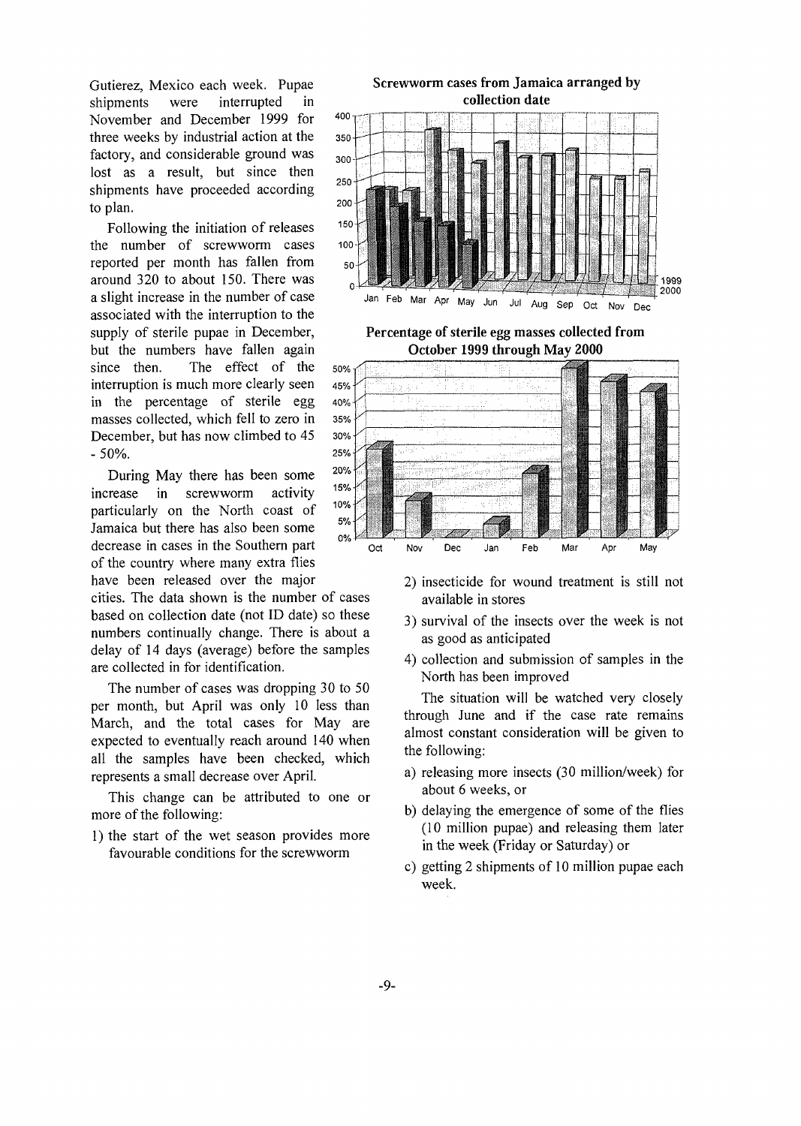Gutierez, Mexico each week. Pupae shipments were interrupted in November and December 1999 for three weeks by industrial action at the factory, and considerable ground was lost as a result, but since then shipments have proceeded according to plan.

Following the initiation of releases the number of screwworm cases reported per month has fallen from around 320 to about 150. There was a slight increase in the number of case associated with the interruption to the supply of sterile pupae in December, but the numbers have fallen again since then. The effect of the interruption is much more clearly seen in the percentage of sterile egg masses collected, which fell to zero in December, but has now climbed to 45  $-50%$ .

During May there has been some increase in screwworm activity particularly on the North coast of Jamaica but there has also been some decrease in cases in the Southern part of the country where many extra flies have been released over the major

cities. The data shown is the number of cases based on collection date (not ID date) so these numbers continually change. There is about a delay of 14 days (average) before the samples are collected in for identification.

The number of cases was dropping 30 to 50 per month, but April was only 10 less than March, and the total cases for May are expected to eventually reach around 140 when all the samples have been checked, which represents a small decrease over April.

This change can be attributed to one or more of the following:

1) the start of the wet season provides more favourable conditions for the screwworm





- 2) insecticide for wound treatment is still not available in stores
- 3) survival of the insects over the week is not as good as anticipated
- 4) collection and submission of samples in the North has been improved

The situation will be watched very closely through June and if the case rate remains almost constant consideration will be given to the following:

- a) releasing more insects (30 million/week) for about 6 weeks, or
- b) delaying the emergence of some of the flies (10 million pupae) and releasing them later in the week (Friday or Saturday) or
- c) getting 2 shipments of 10 million pupae each week.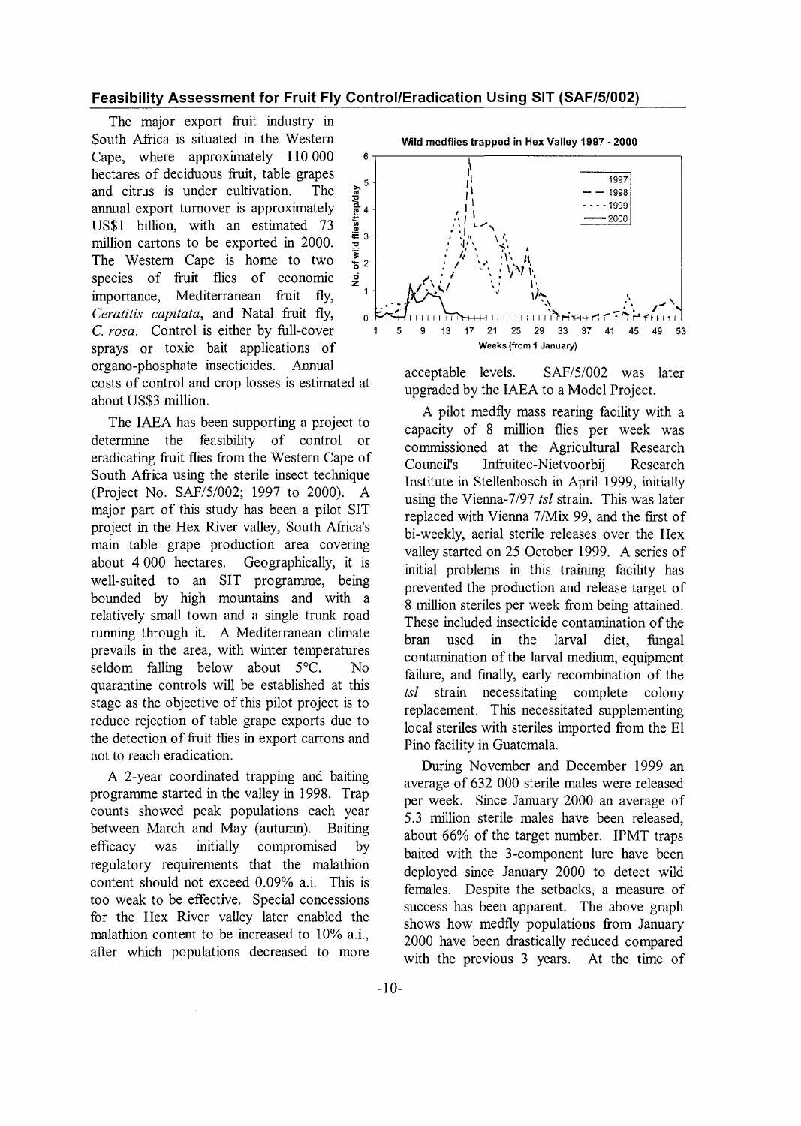#### Feasibility Assessment for Fruit Fly Control/Eradication Using SIT (SAF/5/002)

The major export fruit industry in South Africa is situated in the Western Cape, where approximately 110 000 hectares of deciduous fruit, table grapes and citrus is under cultivation. The annual export turnover is approximately US\$1 billion, with an estimated 73 million cartons to be exported in 2000.  $\frac{1}{3}$ <br>The Western Cape is home to two The Western Cape is home to two  $\frac{5}{6}$  2 species of fruit flies of economic importance, Mediterranean fruit fly, *Ceratitis capitata*, and Natal fruit fly, *C. rosa.* Control is either by full-cover sprays or toxic bait applications of organo-phosphate insecticides. Annual costs of control and crop losses is estimated at about US\$3 million.

The IAEA has been supporting a project to determine the feasibility of control or eradicating fruit flies from the Western Cape of South Africa using the sterile insect technique (Project No. SAF/5/002; 1997 to 2000). A major part of this study has been a pilot SIT project in the Hex River valley, South Africa's main table grape production area covering about 4 000 hectares. Geographically, it is well-suited to an SIT programme, being bounded by high mountains and with a relatively small town and a single trunk road running through it. A Mediterranean climate prevails in the area, with winter temperatures seldom falling below about 5°C. No quarantine controls will be established at this stage as the objective of this pilot project is to reduce rejection of table grape exports due to the detection of fruit flies in export cartons and not to reach eradication.

A 2-year coordinated trapping and baiting programme started in the valley in 1998. Trap counts showed peak populations each year between March and May (autumn). Baiting efficacy was initially compromised by regulatory requirements that the malathion content should not exceed 0.09% a.i. This is too weak to be effective. Special concessions for the Hex River valley later enabled the malathion content to be increased to 10% a.i., after which populations decreased to more wild medflies trapped in Hex Valley 1997-2000



acceptable levels. SAF/5/002 was later upgraded by the IAEA to a Model Project.

A pilot medfly mass rearing facility with a capacity of 8 million flies per week was commissioned at the Agricultural Research Council's Infruitec-Nietvoorbij Research Institute in Stellenbosch in April 1999, initially using the Vienna-7/97 *tsl* strain. This was later replaced with Vienna 7/Mix 99, and the first of bi-weekly, aerial sterile releases over the Hex valley started on 25 October 1999. A series of initial problems in this training facility has prevented the production and release target of 8 million steriles per week from being attained. These included insecticide contamination of the bran used in the larval diet, fungal contamination of the larval medium, equipment failure, and finally, early recombination of the *tsl* strain necessitating complete colony replacement. This necessitated supplementing local steriles with steriles imported from the El Pino facility in Guatemala.

During November and December 1999 an average of 632 000 sterile males were released per week. Since January 2000 an average of 5.3 million sterile males have been released, about 66% of the target number. IPMT traps baited with the 3-component lure have been deployed since January 2000 to detect wild females. Despite the setbacks, a measure of success has been apparent. The above graph shows how medfly populations from January 2000 have been drastically reduced compared with the previous 3 years. At the time of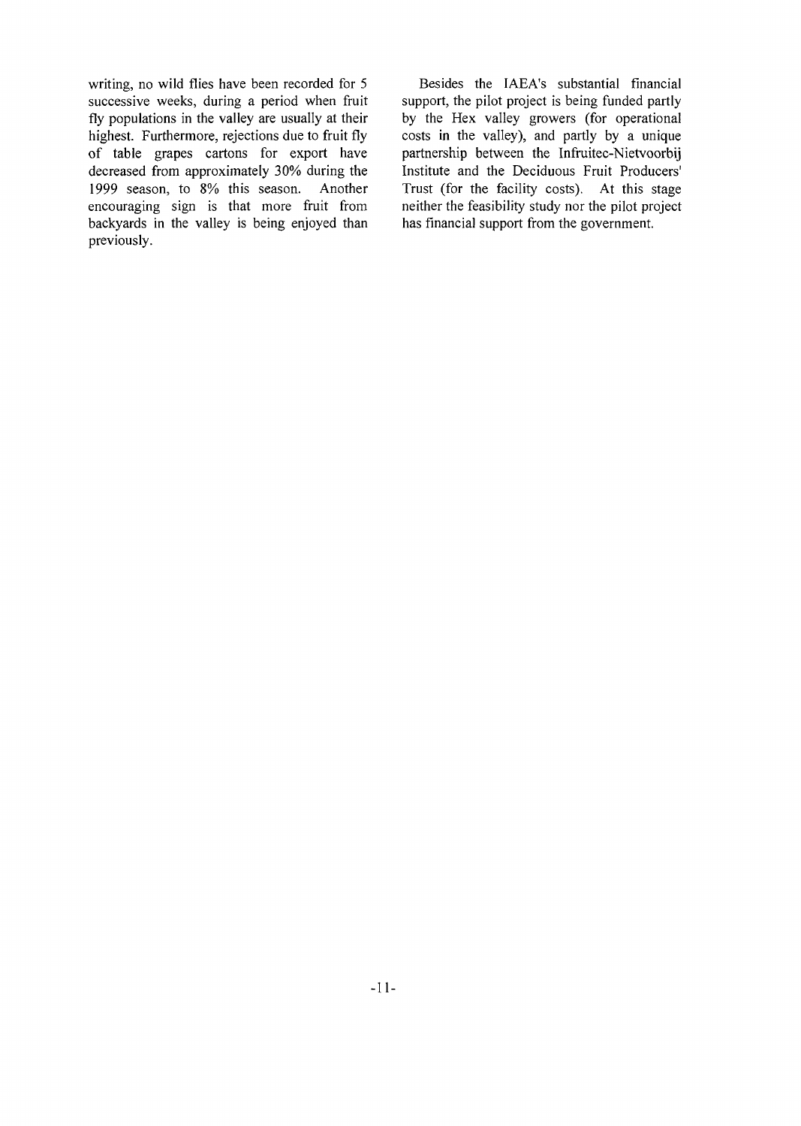writing, no wild flies have been recorded for 5 successive weeks, during a period when fruit fly populations in the valley are usually at their highest. Furthermore, rejections due to fruit fly of table grapes cartons for export have decreased from approximately 30% during the 1999 season, to 8% this season. Another encouraging sign is that more fruit from backyards in the valley is being enjoyed than previously.

Besides the IAEA's substantial financial support, the pilot project is being funded partly by the Hex valley growers (for operational costs in the valley), and partly by a unique partnership between the Infruitec-Nietvoorbij Institute and the Deciduous Fruit Producers' Trust (for the facility costs). At this stage neither the feasibility study nor the pilot project has financial support from the government.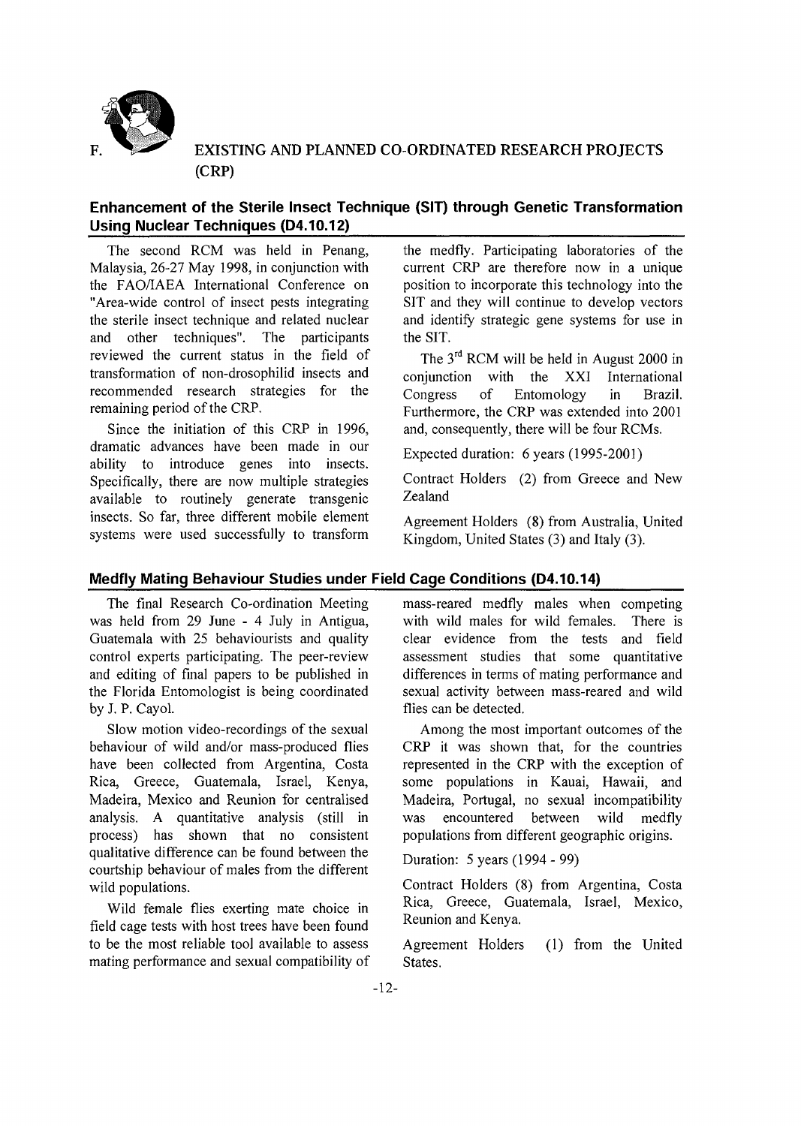

EXISTING AND PLANNED CO-ORDINATED RESEARCH PROJECTS (CRP)

# **Enhancement of the Sterile Insect Technique (SIT) through Genetic Transformation Using Nuclear Techniques (D4.10.12)**

The second RCM was held in Penang, Malaysia, 26-27 May 1998, in conjunction with the FAO/IAEA International Conference on "Area-wide control of insect pests integrating the sterile insect technique and related nuclear and other techniques". The participants reviewed the current status in the field of transformation of non-drosophilid insects and recommended research strategies for the remaining period of the CRP.

Since the initiation of this CRP in 1996, dramatic advances have been made in our ability to introduce genes into insects. Specifically, there are now multiple strategies available to routinely generate transgenic insects. So far, three different mobile element systems were used successfully to transform the medfly. Participating laboratories of the current CRP are therefore now in a unique position to incorporate this technology into the SIT and they will continue to develop vectors and identify strategic gene systems for use in the SIT.

The 3<sup>rd</sup> RCM will be held in August 2000 in conjunction with the XXI International Congress of Entomology in Brazil. Furthermore, the CRP was extended into 2001 and, consequently, there will be four RCMs.

Expected duration: 6 years (1995-2001)

Contract Holders (2) from Greece and New Zealand

Agreement Holders (8) from Australia, United Kingdom, United States (3) and Italy (3).

# **Medfly Mating Behaviour Studies under Field Cage Conditions (04.10.14)**

The final Research Co-ordination Meeting was held from 29 June - 4 July in Antigua, Guatemala with 25 behaviourists and quality control experts participating. The peer-review and editing of final papers to be published in the Florida Entomologist is being coordinated by J. P. Cayol.

Slow motion video-recordings of the sexual behaviour of wild and/or mass-produced flies have been collected from Argentina, Costa Rica, Greece, Guatemala, Israel, Kenya, Madeira, Mexico and Reunion for centralised analysis. A quantitative analysis (still in process) has shown that no consistent qualitative difference can be found between the courtship behaviour of males from the different wild populations.

Wild female flies exerting mate choice in field cage tests with host trees have been found to be the most reliable tool available to assess mating performance and sexual compatibility of mass-reared medfly males when competing with wild males for wild females. There is clear evidence from the tests and field assessment studies that some quantitative differences in terms of mating performance and sexual activity between mass-reared and wild flies can be detected.

Among the most important outcomes of the CRP it was shown that, for the countries represented in the CRP with the exception of some populations in Kauai, Hawaii, and Madeira, Portugal, no sexual incompatibility was encountered between wild medfly populations from different geographic origins.

Duration: 5 years (1994 - 99)

Contract Holders (8) from Argentina, Costa Rica, Greece, Guatemala, Israel, Mexico, Reunion and Kenya.

Agreement Holders (1) from the United States.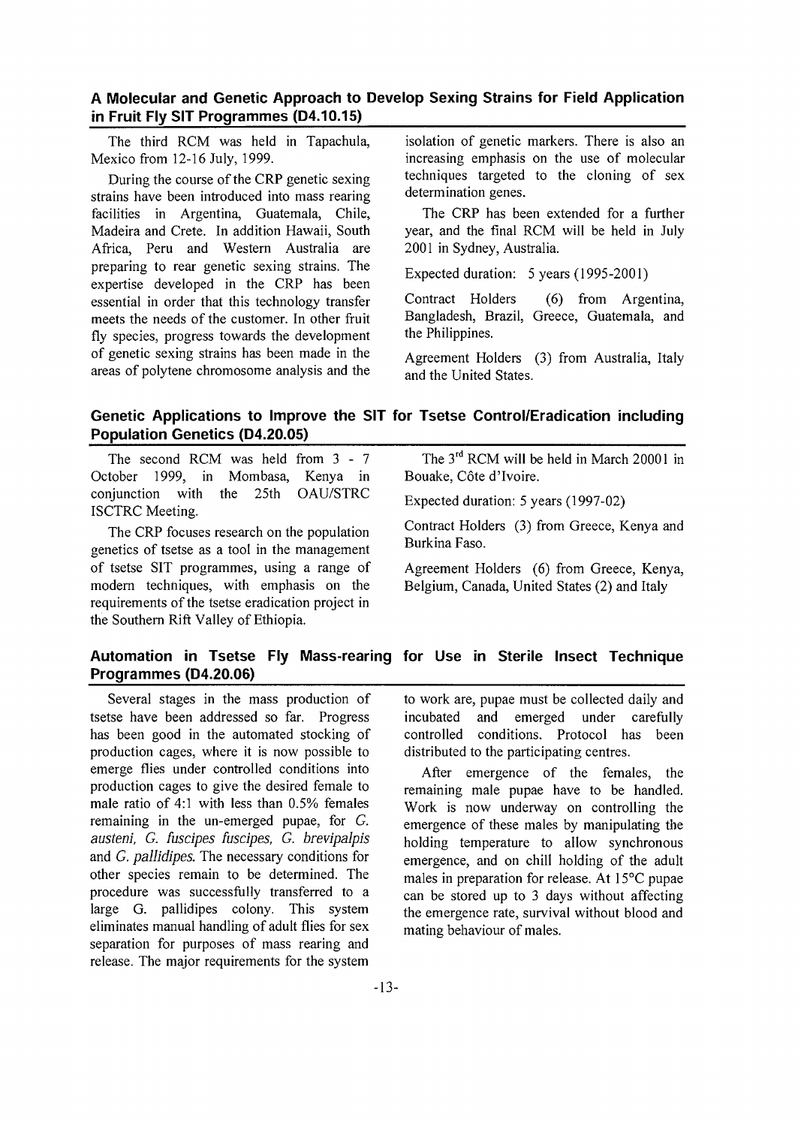# A Molecular and Genetic Approach to Develop Sexing Strains for Field Application in Fruit Fly SIT Programmes (D4.10.15)

The third RCM was held in Tapachula, Mexico from 12-16 July, 1999.

During the course of the CRP genetic sexing strains have been introduced into mass rearing facilities in Argentina, Guatemala, Chile, Madeira and Crete. In addition Hawaii, South Africa, Peru and Western Australia are preparing to rear genetic sexing strains. The expertise developed in the CRP has been essential in order that this technology transfer meets the needs of the customer. In other fruit fly species, progress towards the development of genetic sexing strains has been made in the areas of polytene chromosome analysis and the

isolation of genetic markers. There is also an increasing emphasis on the use of molecular techniques targeted to the cloning of sex determination genes.

The CRP has been extended for a further year, and the final RCM will be held in July 2001 in Sydney, Australia.

Expected duration: 5 years (1995-2001)

Contract Holders (6) from Argentina, Bangladesh, Brazil, Greece, Guatemala, and the Philippines.

Agreement Holders (3) from Australia, Italy and the United States.

# Genetic Applications to Improve the SIT for Tsetse Control/Eradication including Population Genetics (D4.20.05)

The second RCM was held from 3- 7 October 1999, in Mombasa, Kenya in conjunction with the 25th OAU/STRC ISCTRC Meeting.

The CRP focuses research on the population genetics of tsetse as a tool in the management of tsetse SIT programmes, using a range of modern techniques, with emphasis on the requirements of the tsetse eradication project in the Southern Rift Valley of Ethiopia.

The 3<sup>rd</sup> RCM will be held in March 20001 in Bouake, Côte d'Ivoire.

Expected duration: 5 years (1997-02)

Contract Holders (3) from Greece, Kenya and Burkina Faso.

Agreement Holders (6) from Greece, Kenya, Belgium, Canada, United States (2) and Italy

# Automation in Tsetse Fly Mass-rearing for Use in Sterile Insect Technique Programmes (D4.20.06)

Several stages in the mass production of tsetse have been addressed so far. Progress has been good in the automated stocking of production cages, where it is now possible to emerge flies under controlled conditions into production cages to give the desired female to male ratio of 4:1 with less than 0.5% females remaining in the un-emerged pupae, for G. *austeni, G. fuscipes fuscipes, G. brevipalpis* and *G. pallidipes.* The necessary conditions for other species remain to be determined. The procedure was successfully transferred to a large G. pallidipes colony. This system eliminates manual handling of adult flies for sex separation for purposes of mass rearing and release. The major requirements for the system

to work are, pupae must be collected daily and incubated and emerged under carefully controlled conditions. Protocol has been distributed to the participating centres.

After emergence of the females, the remaining male pupae have to be handled. Work is now underway on controlling the emergence of these males by manipulating the holding temperature to allow synchronous emergence, and on chill holding of the adult males in preparation for release. At 15°C pupae can be stored up to 3 days without affecting the emergence rate, survival without blood and mating behaviour of males.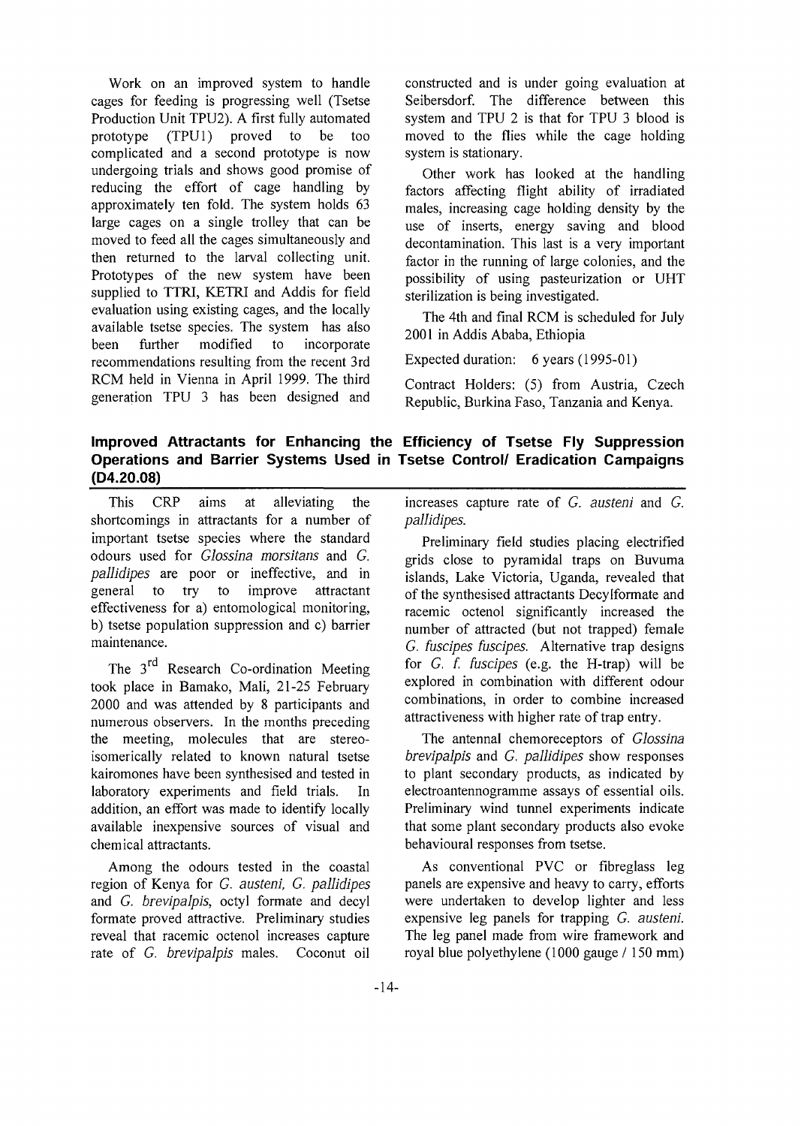Work on an improved system to handle cages for feeding is progressing well (Tsetse Production Unit TPU2). A first fully automated prototype (TPU1) proved to be too complicated and a second prototype is now undergoing trials and shows good promise of reducing the effort of cage handling by approximately ten fold. The system holds 63 large cages on a single trolley that can be moved to feed all the cages simultaneously and then returned to the larval collecting unit. Prototypes of the new system have been supplied to TTRI, KETRI and Addis for field evaluation using existing cages, and the locally available tsetse species. The system has also<br>been further modified to incorporate been further modified to incorporate recommendations resulting from the recent 3rd RCM held in Vienna in April 1999. The third generation TPU 3 has been designed and

constructed and is under going evaluation at Seibersdorf. The difference between this system and TPU 2 is that for TPU 3 blood is moved to the flies while the cage holding system is stationary.

Other work has looked at the handling factors affecting flight ability of irradiated males, increasing cage holding density by the use of inserts, energy saving and blood decontamination. This last is a very important factor in the running of large colonies, and the possibility of using pasteurization or UHT sterilization is being investigated.

The 4th and final RCM is scheduled for July 2001 in Addis Ababa, Ethiopia

Expected duration: 6 years (1995-01)

Contract Holders: (5) from Austria, Czech Republic, Burkina Faso, Tanzania and Kenya.

# Improved Attractants for Enhancing the Efficiency of Tsetse Fly Suppression Operations and Barrier Systems Used in Tsetse Control/ Eradication Campaigns (D4.20.08)

This CRP aims at alleviating the shortcomings in attractants for a number of important tsetse species where the standard odours used for *Glossina morsitans* and *G. pallidipes* are poor or ineffective, and in general to try to improve attractant effectiveness for a) entomological monitoring, b) tsetse population suppression and c) barrier maintenance.

The 3<sup>rd</sup> Research Co-ordination Meeting took place in Bamako, Mali, 21-25 February 2000 and was attended by 8 participants and numerous observers. In the months preceding the meeting, molecules that are stereoisomerically related to known natural tsetse kairomones have been synthesised and tested in laboratory experiments and field trials. In addition, an effort was made to identify locally available inexpensive sources of visual and chemical attractants.

Among the odours tested in the coastal region of Kenya for *G. austeni, G. pallidipes* and *G. brevipalpis,* octyl formate and decyl formate proved attractive. Preliminary studies reveal that racemic octenol increases capture rate of *G. brevipalpis* males. Coconut oil

increases capture rate of *G. austeni* and *G. pallidipes.*

Preliminary field studies placing electrified grids close to pyramidal traps on Buvuma islands, Lake Victoria, Uganda, revealed that of the synthesised attractants Decylformate and racemic octenol significantly increased the number of attracted (but not trapped) female *G. fuscipes fuscipes.* Alternative trap designs for *G. f. fuscipes* (e.g. the H-trap) will be explored in combination with different odour combinations, in order to combine increased attractiveness with higher rate of trap entry.

The antennal chemoreceptors of *Glossina brevipalpis* and *G. pallidipes* show responses to plant secondary products, as indicated by electroantennogramme assays of essential oils. Preliminary wind tunnel experiments indicate that some plant secondary products also evoke behavioural responses from tsetse.

As conventional PVC or fibreglass leg panels are expensive and heavy to carry, efforts were undertaken to develop lighter and less expensive leg panels for trapping *G. austeni.* The leg panel made from wire framework and royal blue polyethylene (1000 gauge / 150 mm)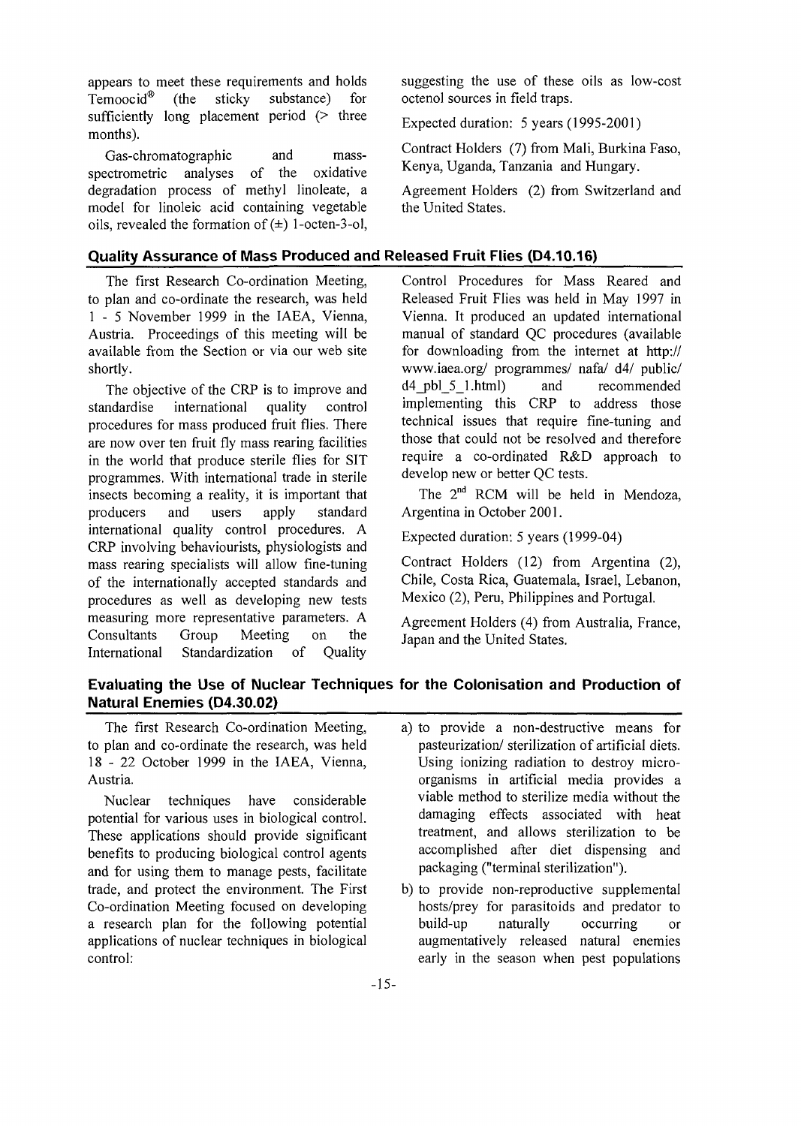appears to meet these requirements and holds Temoocid® (the sticky substance) for sufficiently long placement period  $($  three months).

Gas-chromatographic and massspectrometric analyses of the oxidative degradation process of methyl linoleate, a model for linoleic acid containing vegetable oils, revealed the formation of  $(\pm)$  1-octen-3-ol,

## Quality Assurance of Mass Produced and Released Fruit Flies (D4.10.16)

The first Research Co-ordination Meeting, to plan and co-ordinate the research, was held 1 - 5 November 1999 in the IAEA, Vienna, Austria. Proceedings of this meeting will be available from the Section or via our web site shortly.

The objective of the CRP is to improve and standardise international quality control procedures for mass produced fruit flies. There are now over ten fruit fly mass rearing facilities in the world that produce sterile flies for SIT programmes. With international trade in sterile insects becoming a reality, it is important that producers and users apply standard international quality control procedures. A CRP involving behaviourists, physiologists and mass rearing specialists will allow fine-tuning of the internationally accepted standards and procedures as well as developing new tests measuring more representative parameters. A Consultants Group Meeting on the International Standardization of Quality

suggesting the use of these oils as low-cost octenol sources in field traps.

Expected duration: 5 years (1995-2001)

Contract Holders (7) from Mali, Burkina Faso, Kenya, Uganda, Tanzania and Hungary.

Agreement Holders (2) from Switzerland and the United States.

Control Procedures for Mass Reared and Released Fruit Flies was held in May 1997 in Vienna. It produced an updated international manual of standard QC procedures (available for downloading from the internet at http:// www.iaea.org/ programmes/ nafa/ d4/ public/ d4\_pbl\_5\_l.html) and recommended implementing this CRP to address those technical issues that require fine-tuning and those that could not be resolved and therefore require a co-ordinated R&D approach to develop new or better QC tests.

The 2<sup>nd</sup> RCM will be held in Mendoza, Argentina in October 2001.

Expected duration: 5 years (1999-04)

Contract Holders (12) from Argentina (2), Chile, Costa Rica, Guatemala, Israel, Lebanon, Mexico (2), Peru, Philippines and Portugal.

Agreement Holders (4) from Australia, France, Japan and the United States.

# Evaluating the Use of Nuclear Techniques for the Colonisation and Production of Natural Enemies (D4.30.02)

The first Research Co-ordination Meeting, to plan and co-ordinate the research, was held 18-2 2 October 1999 in the IAEA, Vienna, Austria.

Nuclear techniques have considerable potential for various uses in biological control. These applications should provide significant benefits to producing biological control agents and for using them to manage pests, facilitate trade, and protect the environment. The First Co-ordination Meeting focused on developing a research plan for the following potential applications of nuclear techniques in biological control:

- a) to provide a non-destructive means for pasteurization/ sterilization of artificial diets. Using ionizing radiation to destroy microorganisms in artificial media provides a viable method to sterilize media without the damaging effects associated with heat treatment, and allows sterilization to be accomplished after diet dispensing and packaging ("terminal sterilization").
- b) to provide non-reproductive supplemental hosts/prey for parasitoids and predator to build-up naturally occurring or augmentatively released natural enemies early in the season when pest populations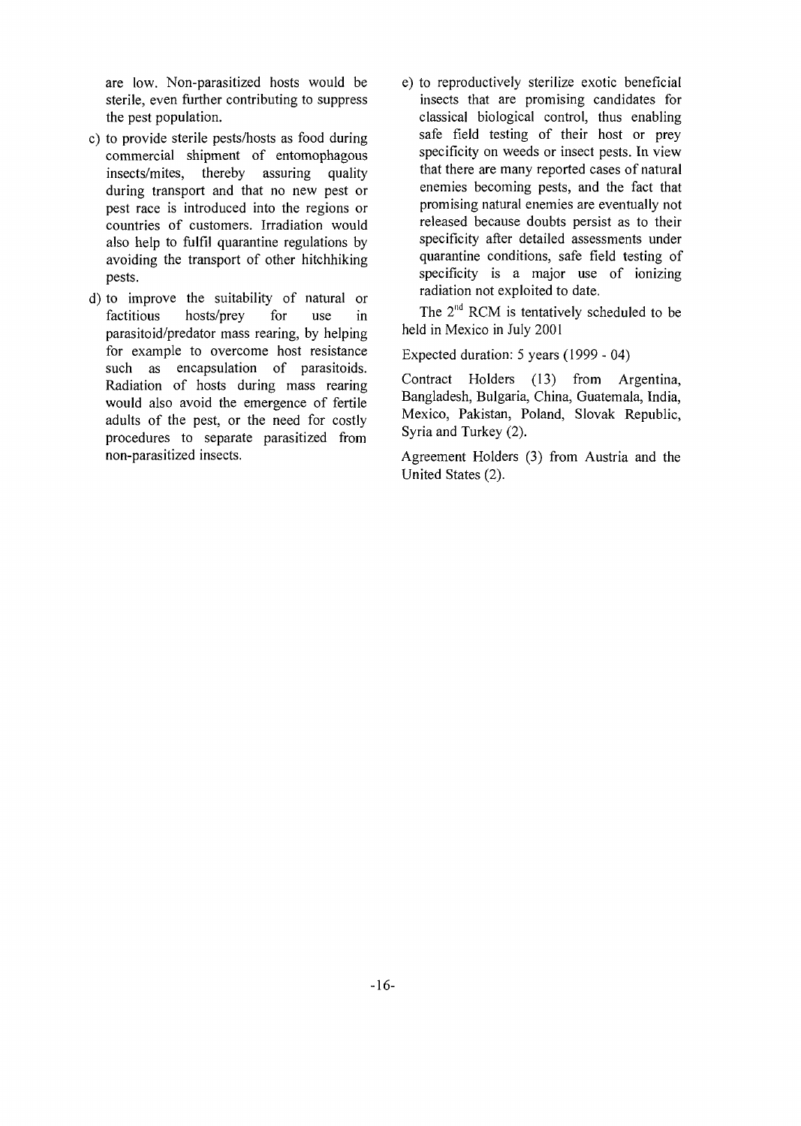are low. Non-parasitized hosts would be sterile, even further contributing to suppress the pest population.

- c) to provide sterile pests/hosts as food during commercial shipment of entomophagous insects/mites, thereby assuring quality during transport and that no new pest or pest race is introduced into the regions or countries of customers. Irradiation would also help to fulfil quarantine regulations by avoiding the transport of other hitchhiking pests.
- d) to improve the suitability of natural or factitious hosts/prey for use in parasitoid/predator mass rearing, by helping for example to overcome host resistance such as encapsulation of parasitoids. Radiation of hosts during mass rearing would also avoid the emergence of fertile adults of the pest, or the need for costly procedures to separate parasitized from non-parasitized insects.
- e) to reproductively sterilize exotic beneficial insects that are promising candidates for classical biological control, thus enabling safe field testing of their host or prey specificity on weeds or insect pests. In view that there are many reported cases of natural enemies becoming pests, and the fact that promising natural enemies are eventually not released because doubts persist as to their specificity after detailed assessments under quarantine conditions, safe field testing of specificity is a major use of ionizing radiation not exploited to date.

The  $2<sup>nd</sup>$  RCM is tentatively scheduled to be held in Mexico in July 2001

Expected duration: 5 years (1999 - 04)

Contract Holders (13) from Argentina, Bangladesh, Bulgaria, China, Guatemala, India, Mexico, Pakistan, Poland, Slovak Republic, Syria and Turkey (2).

Agreement Holders (3) from Austria and the United States (2).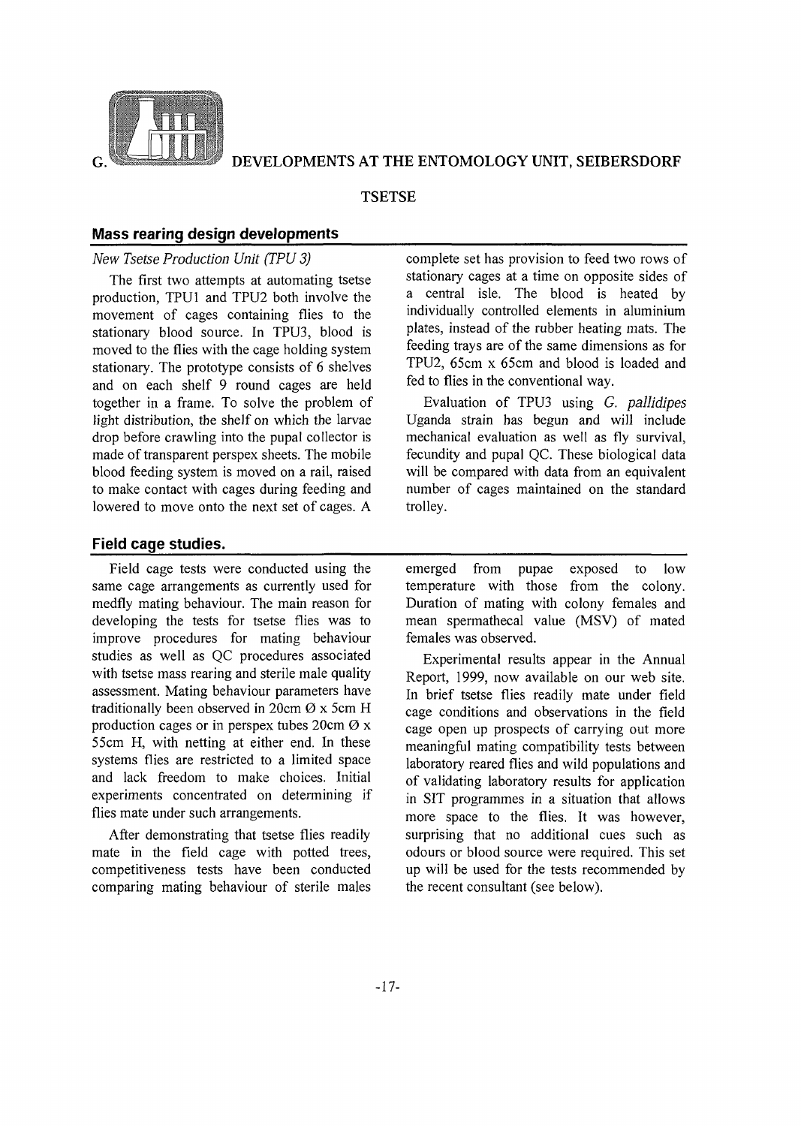

#### **TSETSE**

#### Mass rearing design developments

#### *New Tsetse Production Unit (TPU 3)*

The first two attempts at automating tsetse production, TPU1 and TPU2 both involve the movement of cages containing flies to the stationary blood source. In TPU3, blood is moved to the flies with the cage holding system stationary. The prototype consists of 6 shelves and on each shelf 9 round cages are held together in a frame. To solve the problem of light distribution, the shelf on which the larvae drop before crawling into the pupal collector is made of transparent perspex sheets. The mobile blood feeding system is moved on a rail, raised to make contact with cages during feeding and lowered to move onto the next set of cages. A

#### Field cage studies.

Field cage tests were conducted using the same cage arrangements as currently used for medfly mating behaviour. The main reason for developing the tests for tsetse flies was to improve procedures for mating behaviour studies as well as QC procedures associated with tsetse mass rearing and sterile male quality assessment. Mating behaviour parameters have traditionally been observed in  $20 \text{cm } \varnothing$  x 5cm H production cages or in perspex tubes  $20 \text{cm } \emptyset$  x 55cm H, with netting at either end. In these systems flies are restricted to a limited space and lack freedom to make choices. Initial experiments concentrated on determining if flies mate under such arrangements.

After demonstrating that tsetse flies readily mate in the field cage with potted trees, competitiveness tests have been conducted comparing mating behaviour of sterile males

complete set has provision to feed two rows of stationary cages at a time on opposite sides of a central isle. The blood is heated by individually controlled elements in aluminium plates, instead of the rubber heating mats. The feeding trays are of the same dimensions as for TPU2, 65cm x 65cm and blood is loaded and fed to flies in the conventional way.

Evaluation of TPU3 using *G. pallidipes* Uganda strain has begun and will include mechanical evaluation as well as fly survival, fecundity and pupal QC. These biological data will be compared with data from an equivalent number of cages maintained on the standard trolley.

emerged from pupae exposed to low temperature with those from the colony. Duration of mating with colony females and mean spermathecal value (MSV) of mated females was observed.

Experimental results appear in the Annual Report, 1999, now available on our web site. In brief tsetse flies readily mate under field cage conditions and observations in the field cage open up prospects of carrying out more meaningful mating compatibility tests between laboratory reared flies and wild populations and of validating laboratory results for application in SIT programmes in a situation that allows more space to the flies. It was however, surprising that no additional cues such as odours or blood source were required. This set up will be used for the tests recommended by the recent consultant (see below).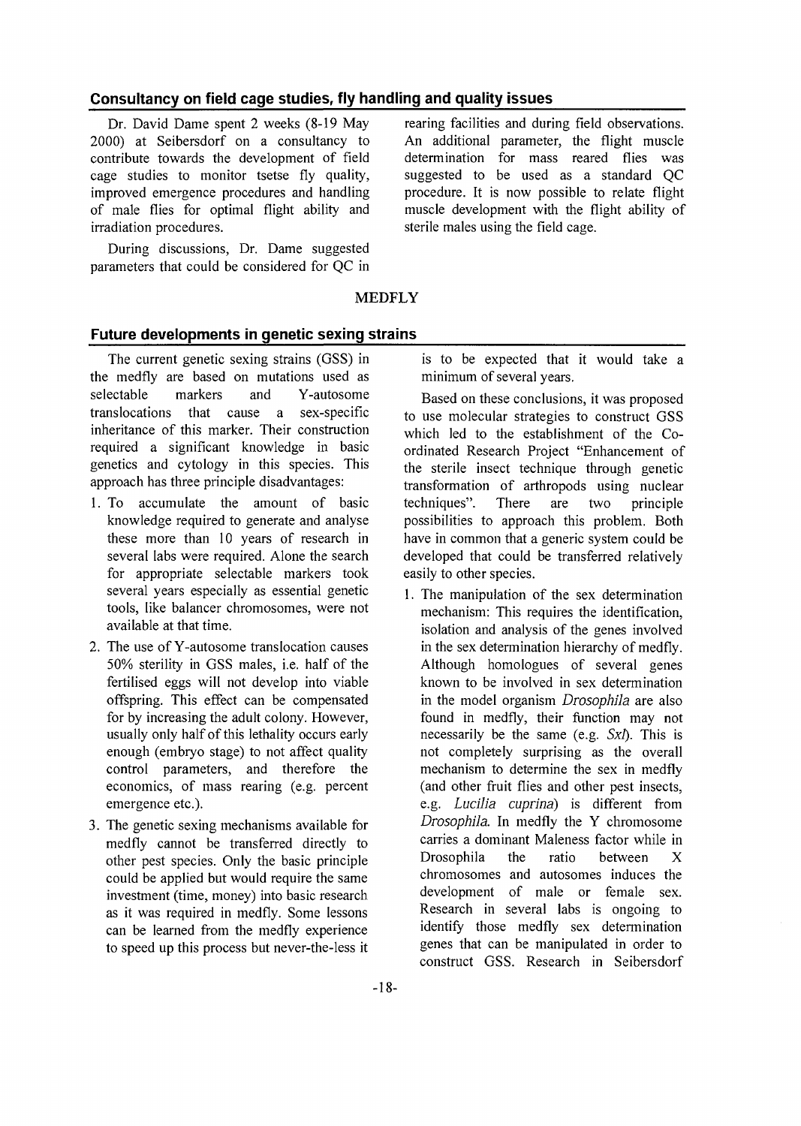# Consultancy on field cage studies, fly handling and quality issues

Dr. David Dame spent 2 weeks (8-19 May rearing facilities 2000) at Seibersdorf on a consultancy to contribute towards the development of field cage studies to monitor tsetse fly quality, improved emergence procedures and handling of male flies for optimal flight ability and irradiation procedures.

During discussions, Dr. Dame suggested parameters that could be considered for QC in rearing facilities and during field observations. An additional parameter, the flight muscle determination for mass reared flies was suggested to be used as a standard QC procedure. It is now possible to relate flight muscle development with the flight ability of sterile males using the field cage.

#### MEDFLY

# Future developments in genetic sexing strains

The current genetic sexing strains (GSS) in the medfly are based on mutations used as selectable markers and Y-autosome translocations that cause a sex-specific inheritance of this marker. Their construction required a significant knowledge in basic genetics and cytology in this species. This approach has three principle disadvantages:

- 1. To accumulate the amount of basic knowledge required to generate and analyse these more than 10 years of research in several labs were required. Alone the search for appropriate selectable markers took several years especially as essential genetic tools, like balancer chromosomes, were not available at that time.
- 2. The use of Y-autosome translocation causes 50% sterility in GSS males, i.e. half of the fertilised eggs will not develop into viable offspring. This effect can be compensated for by increasing the adult colony. However, usually only half of this lethality occurs early enough (embryo stage) to not affect quality control parameters, and therefore the economics, of mass rearing (e.g. percent emergence etc.).
- 3. The genetic sexing mechanisms available for medfly cannot be transferred directly to other pest species. Only the basic principle could be applied but would require the same investment (time, money) into basic research as it was required in medfly. Some lessons can be learned from the medfly experience to speed up this process but never-the-less it

is to be expected that it would take a minimum of several years.

Based on these conclusions, it was proposed to use molecular strategies to construct GSS which led to the establishment of the Coordinated Research Project "Enhancement of the sterile insect technique through genetic transformation of arthropods using nuclear techniques". There are two principle possibilities to approach this problem. Both have in common that a generic system could be developed that could be transferred relatively easily to other species.

1. The manipulation of the sex determination mechanism: This requires the identification, isolation and analysis of the genes involved in the sex determination hierarchy of medfly. Although homologues of several genes known to be involved in sex determination in the model organism *Drosophila* are also found in medfly, their function may not necessarily be the same (e.g. *Sxl).* This is not completely surprising as the overall mechanism to determine the sex in medfly (and other fruit flies and other pest insects, e.g. *Lucilia cuprina)* is different from *Drosophila.* In medfly the Y chromosome carries a dominant Maleness factor while in Drosophila the ratio between X chromosomes and autosomes induces the development of male or female sex. Research in several labs is ongoing to identify those medfly sex determination genes that can be manipulated in order to construct GSS. Research in Seibersdorf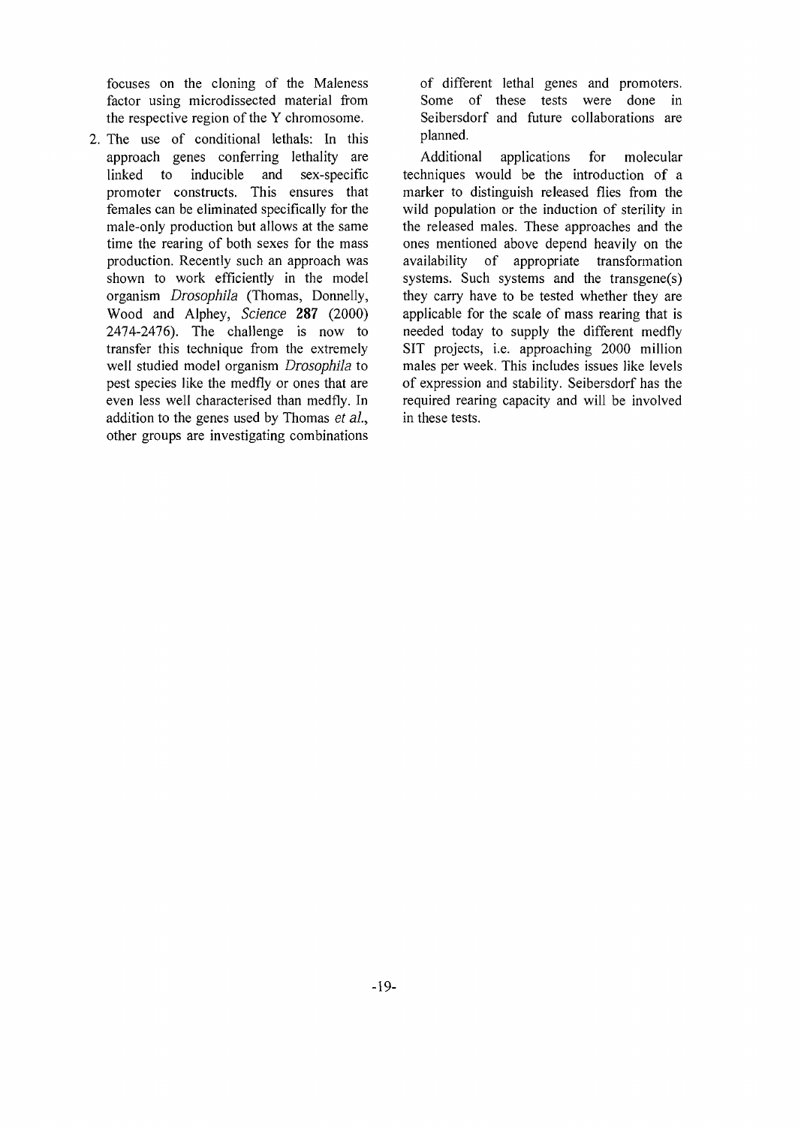focuses on the cloning of the Maleness factor using microdissected material from the respective region of the Y chromosome.

2. The use of conditional lethals: In this approach genes conferring lethality are linked to inducible and sex-specific promoter constructs. This ensures that females can be eliminated specifically for the male-only production but allows at the same time the rearing of both sexes for the mass production. Recently such an approach was shown to work efficiently in the model organism *Drosophila* (Thomas, Donnelly, Wood and Alphey, *Science* 287 (2000) 2474-2476). The challenge is now to transfer this technique from the extremely well studied model organism *Drosophila* to pest species like the medfly or ones that are even less well characterised than medfly. In addition to the genes used by Thomas *et al,* other groups are investigating combinations of different lethal genes and promoters. Some of these tests were done in Seibersdorf and future collaborations are planned.

Additional applications for molecular techniques would be the introduction of a marker to distinguish released flies from the wild population or the induction of sterility in the released males. These approaches and the ones mentioned above depend heavily on the availability of appropriate transformation systems. Such systems and the transgene(s) they carry have to be tested whether they are applicable for the scale of mass rearing that is needed today to supply the different medfly SIT projects, i.e. approaching 2000 million males per week. This includes issues like levels of expression and stability. Seibersdorf has the required rearing capacity and will be involved in these tests.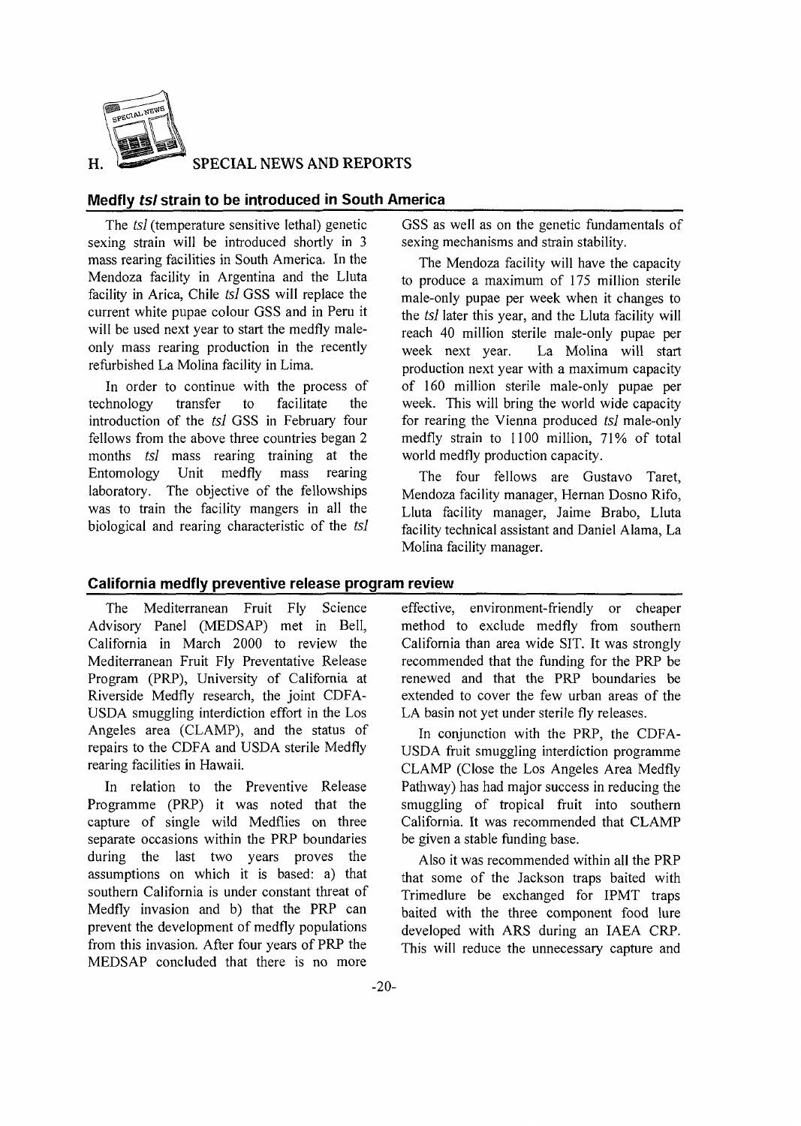

**SPECIAL NEWS AND REPORTS**

#### Medfly tsl strain to be introduced in South America

The *tsl* (temperature sensitive lethal) genetic sexing strain will be introduced shortly in 3 mass rearing facilities in South America. In the Mendoza facility in Argentina and the Lluta facility in Arica, Chile *tsl* GSS will replace the current white pupae colour GSS and in Peru it will be used next year to start the medfly maleonly mass rearing production in the recently refurbished La Molina facility in Lima.

In order to continue with the process of technology transfer to facilitate the introduction of the *tsl* GSS in February four fellows from the above three countries began 2 months *tsl* mass rearing training at the Entomology Unit medfly mass rearing laboratory. The objective of the fellowships was to train the facility mangers in all the biological and rearing characteristic of the *tsl*

GSS as well as on the genetic fundamentals of sexing mechanisms and strain stability.

The Mendoza facility will have the capacity to produce a maximum of 175 million sterile male-only pupae per week when it changes to the *tsl* later this year, and the Lluta facility will reach 40 million sterile male-only pupae per week next year. La Molina will start production next year with a maximum capacity of 160 million sterile male-only pupae per week. This will bring the world wide capacity for rearing the Vienna produced *tsl* male-only medfly strain to 1100 million, 71% of total world medfly production capacity.

The four fellows are Gustavo Taret, Mendoza facility manager, Hernan Dosno Rifo, Lluta facility manager, Jaime Brabo, Lluta facility technical assistant and Daniel Alama, La Molina facility manager.

#### California medfly preventive release program review

The Mediterranean Fruit Fly Science Advisory Panel (MEDSAP) met in Bell, California in March 2000 to review the Mediterranean Fruit Fly Preventative Release Program (PRP), University of California at Riverside Medfly research, the joint CDFA-USDA smuggling interdiction effort in the Los Angeles area (CLAMP), and the status of repairs to the CDFA and USDA sterile Medfly rearing facilities in Hawaii.

In relation to the Preventive Release Programme (PRP) it was noted that the capture of single wild Medflies on three separate occasions within the PRP boundaries during the last two years proves the assumptions on which it is based: a) that southern California is under constant threat of Medfly invasion and b) that the PRP can prevent the development of medfly populations from this invasion. After four years of PRP the MEDSAP concluded that there is no more

effective, environment-friendly or cheaper method to exclude medfly from southern California than area wide SIT. It was strongly recommended that the funding for the PRP be renewed and that the PRP boundaries be extended to cover the few urban areas of the LA basin not yet under sterile fly releases.

In conjunction with the PRP, the CDFA-USDA fruit smuggling interdiction programme CLAMP (Close the Los Angeles Area Medfly Pathway) has had major success in reducing the smuggling of tropical fruit into southern California. It was recommended that CLAMP be given a stable funding base.

Also it was recommended within all the PRP that some of the Jackson traps baited with Trimedlure be exchanged for IPMT traps baited with the three component food lure developed with ARS during an IAEA CRP. This will reduce the unnecessary capture and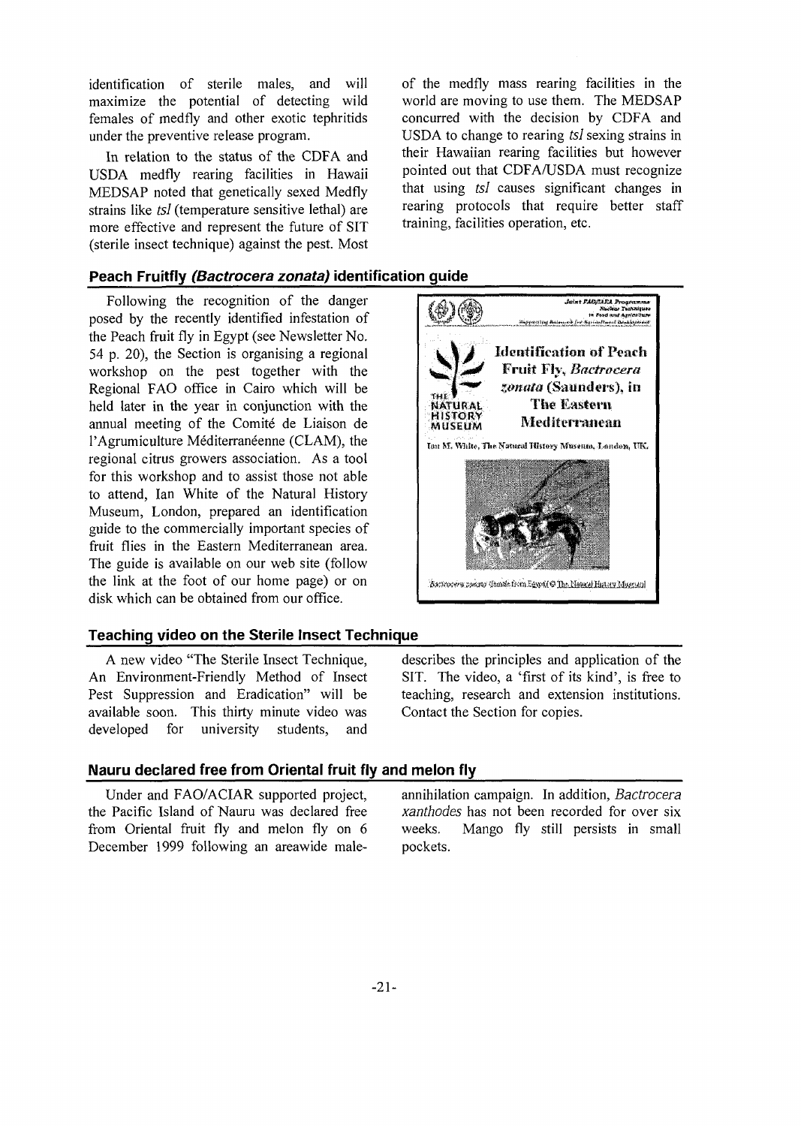identification of sterile males, and will maximize the potential of detecting wild females of medfly and other exotic tephritids under the preventive release program.

In relation to the status of the CDFA and USDA medfly rearing facilities in Hawaii MEDSAP noted that genetically sexed Medfly strains like *tsl* (temperature sensitive lethal) are more effective and represent the future of SIT (sterile insect technique) against the pest. Most

of the medfly mass rearing facilities in the world are moving to use them. The MEDSAP concurred with the decision by CDFA and USDA to change to rearing *tsl* sexing strains in their Hawaiian rearing facilities but however pointed out that CDFA/USDA must recognize that using *tsl* causes significant changes in rearing protocols that require better staff training, facilities operation, etc.

#### **Peach Fruitfly (Bactrocera zonata) identification guide**

Following the recognition of the danger posed by the recently identified infestation of the Peach fruit fly in Egypt (see Newsletter No. 54 p. 20), the Section is organising a regional workshop on the pest together with the Regional FAO office in Cairo which will be held later in the year in conjunction with the annual meeting of the Comite de Liaison de l'Agrumiculture Méditerranéenne (CLAM), the regional citrus growers association. As a tool for this workshop and to assist those not able to attend, Ian White of the Natural History Museum, London, prepared an identification guide to the commercially important species of fruit flies in the Eastern Mediterranean area. The guide is available on our web site (follow the link at the foot of our home page) or on disk which can be obtained from our office.

#### **Teaching video on the Sterile Insect Technique**

A new video "The Sterile Insect Technique, An Environment-Friendly Method of Insect Pest Suppression and Eradication" will be available soon. This thirty minute video was developed for university students, and



describes the principles and application of the SIT. The video, a 'first of its kind', is free to teaching, research and extension institutions. Contact the Section for copies.

#### **Nauru declared free from Oriental fruit fly and melon fly**

Under and FAO/ACIAR supported project, the Pacific Island of Nauru was declared free from Oriental fruit fly and melon fly on 6 December 1999 following an areawide male-

annihilation campaign. In addition, *Bactrocera xanthodes* has not been recorded for over six weeks. Mango fly still persists in small pockets.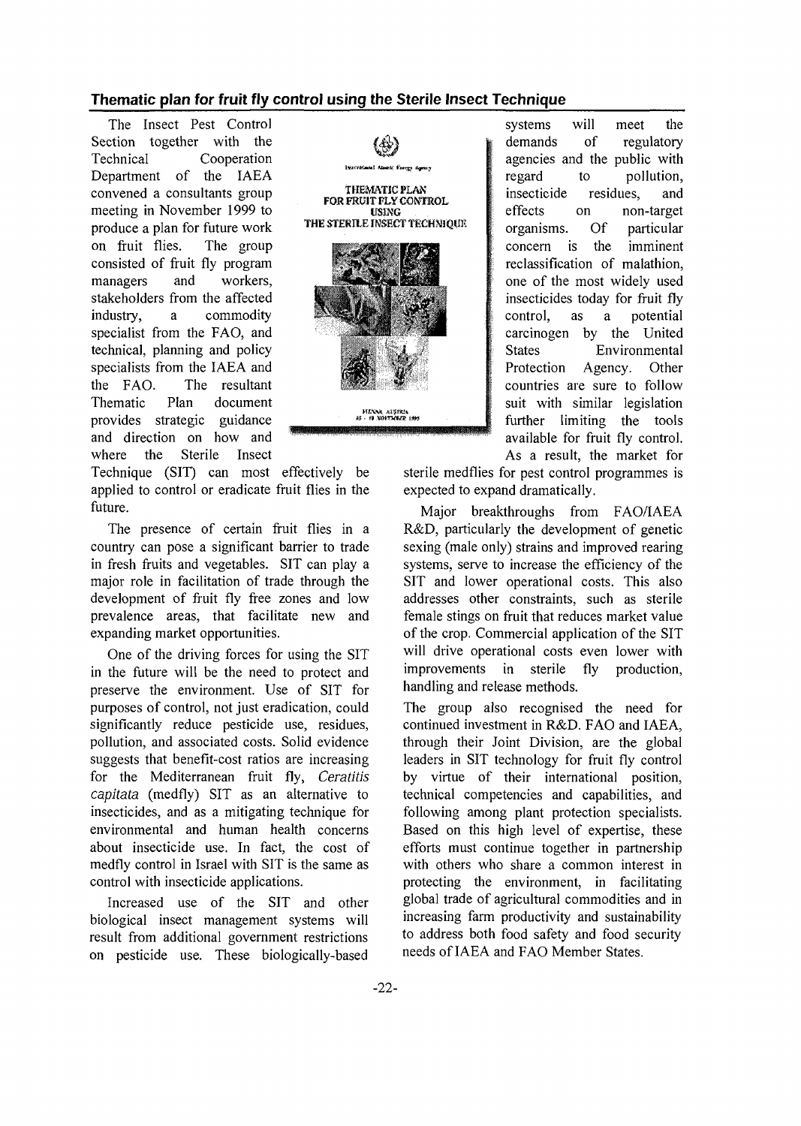#### **Thematic plan for fruit fly control using the Sterile Insect Technique**

The Insect Pest Control Section together with the Technical Cooperation Department of the IAEA convened a consultants group meeting in November 1999 to produce a plan for future work on fruit flies. The group consisted of fruit fly program managers and workers, stakeholders from the affected industry, a commodity specialist from the FAO, and technical, planning and policy specialists from the IAEA and the FAO. The resultant Thematic Plan document provides strategic guidance and the provides  $\frac{1}{2}$ and direction on how and where the Sterile Insect

Technique (SIT) can most effectively be applied to control or eradicate fruit flies in the future.

The presence of certain fruit flies in a country can pose a significant barrier to trade in fresh fruits and vegetables. SIT can play a major role in facilitation of trade through the development of fruit fly free zones and low prevalence areas, that facilitate new and expanding market opportunities.

One of the driving forces for using the SIT in the future will be the need to protect and preserve the environment. Use of SIT for purposes of control, not just eradication, could significantly reduce pesticide use, residues, pollution, and associated costs. Solid evidence suggests that benefit-cost ratios are increasing for the Mediterranean fruit fly, *Ceratitis capitata* (medfly) SIT as an alternative to insecticides, and as a mitigating technique for environmental and human health concerns about insecticide use. In fact, the cost of medfly control in Israel with SIT is the same as control with insecticide applications.

Increased use of the SIT and other biological insect management systems will result from additional government restrictions on pesticide use. These biologically-based



systems will meet the demands of regulatory agencies and the public with regard to pollution, insecticide residues, and effects on non-target organisms. Of particular concern is the imminent reclassification of malathion, one of the most widely used insecticides today for fruit fly control, as a potential carcinogen by the United States Environmental Protection Agency. Other countries are sure to follow suit with similar legislation further limiting the tools available for fruit fly control. As a result, the market for

sterile medflies for pest control programmes is expected to expand dramatically.

Major breakthroughs from FAO/IAEA R&D, particularly the development of genetic sexing (male only) strains and improved rearing systems, serve to increase the efficiency of the SIT and lower operational costs. This also addresses other constraints, such as sterile female stings on fruit that reduces market value of the crop. Commercial application of the SIT will drive operational costs even lower with improvements in sterile fly production, handling and release methods.

The group also recognised the need for continued investment in R&D. FAO and IAEA, through their Joint Division, are the global leaders in SIT technology for fruit fly control by virtue of their international position, technical competencies and capabilities, and following among plant protection specialists. Based on this high level of expertise, these efforts must continue together in partnership with others who share a common interest in protecting the environment, in facilitating global trade of agricultural commodities and in increasing farm productivity and sustainability to address both food safety and food security needs of IAEA and FAO Member States.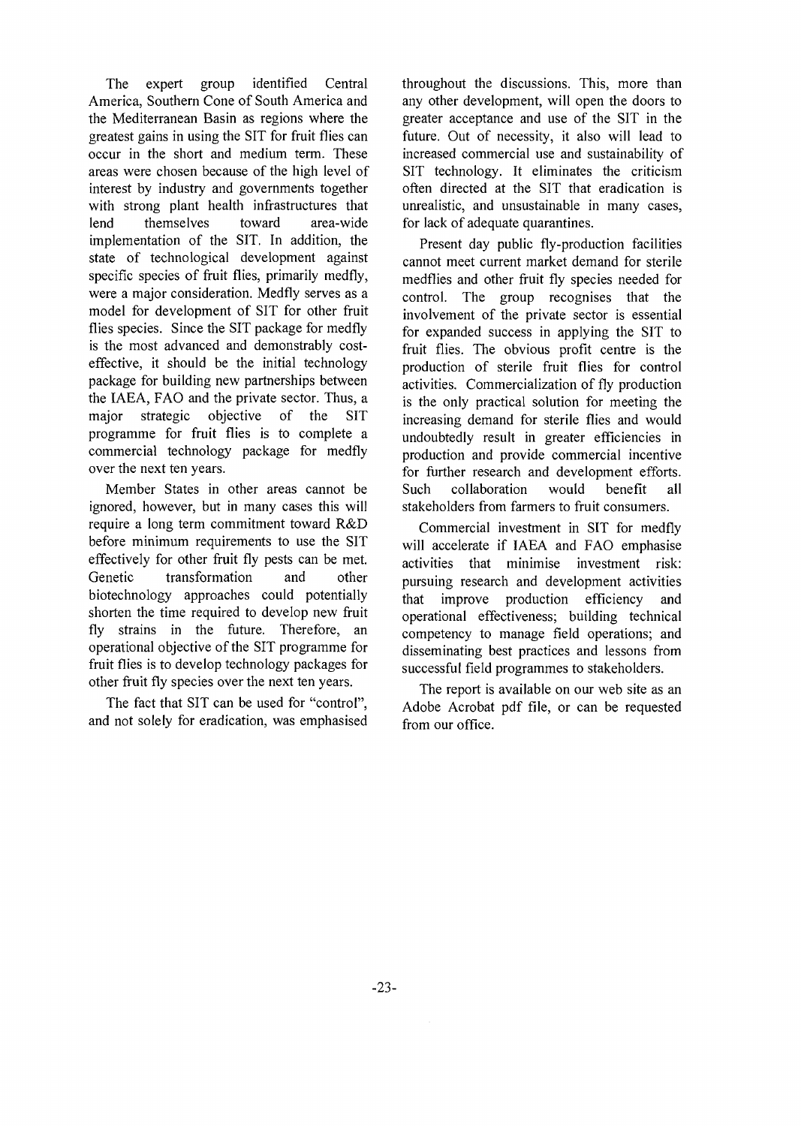The expert group identified Central America, Southern Cone of South America and the Mediterranean Basin as regions where the greatest gains in using the SIT for fruit flies can occur in the short and medium term. These areas were chosen because of the high level of interest by industry and governments together with strong plant health infrastructures that lend themselves toward area-wide implementation of the SIT. In addition, the state of technological development against specific species of fruit flies, primarily medfly, were a major consideration. Medfly serves as a model for development of SIT for other fruit flies species. Since the SIT package for medfly is the most advanced and demonstrably costeffective, it should be the initial technology package for building new partnerships between the IAEA, FAO and the private sector. Thus, a major strategic objective of the SIT programme for fruit flies is to complete a commercial technology package for medfly over the next ten years.

Member States in other areas cannot be ignored, however, but in many cases this will require a long term commitment toward R&D before minimum requirements to use the SIT effectively for other fruit fly pests can be met. Genetic transformation and other biotechnology approaches could potentially shorten the time required to develop new fruit fly strains in the future. Therefore, an operational objective of the SIT programme for fruit flies is to develop technology packages for other fruit fly species over the next ten years.

The fact that SIT can be used for "control", and not solely for eradication, was emphasised

throughout the discussions. This, more than any other development, will open the doors to greater acceptance and use of the SIT in the future. Out of necessity, it also will lead to increased commercial use and sustainability of SIT technology. It eliminates the criticism often directed at the SIT that eradication is unrealistic, and unsustainable in many cases, for lack of adequate quarantines.

Present day public fly-production facilities cannot meet current market demand for sterile medflies and other fruit fly species needed for control. The group recognises that the involvement of the private sector is essential for expanded success in applying the SIT to fruit flies. The obvious profit centre is the production of sterile fruit flies for control activities. Commercialization of fly production is the only practical solution for meeting the increasing demand for sterile flies and would undoubtedly result in greater efficiencies in production and provide commercial incentive for further research and development efforts. Such collaboration would benefit all stakeholders from farmers to fruit consumers.

Commercial investment in SIT for medfly will accelerate if IAEA and FAO emphasise activities that minimise investment risk: pursuing research and development activities that improve production efficiency and operational effectiveness; building technical competency to manage field operations; and disseminating best practices and lessons from successful field programmes to stakeholders.

The report is available on our web site as an Adobe Acrobat pdf file, or can be requested from our office.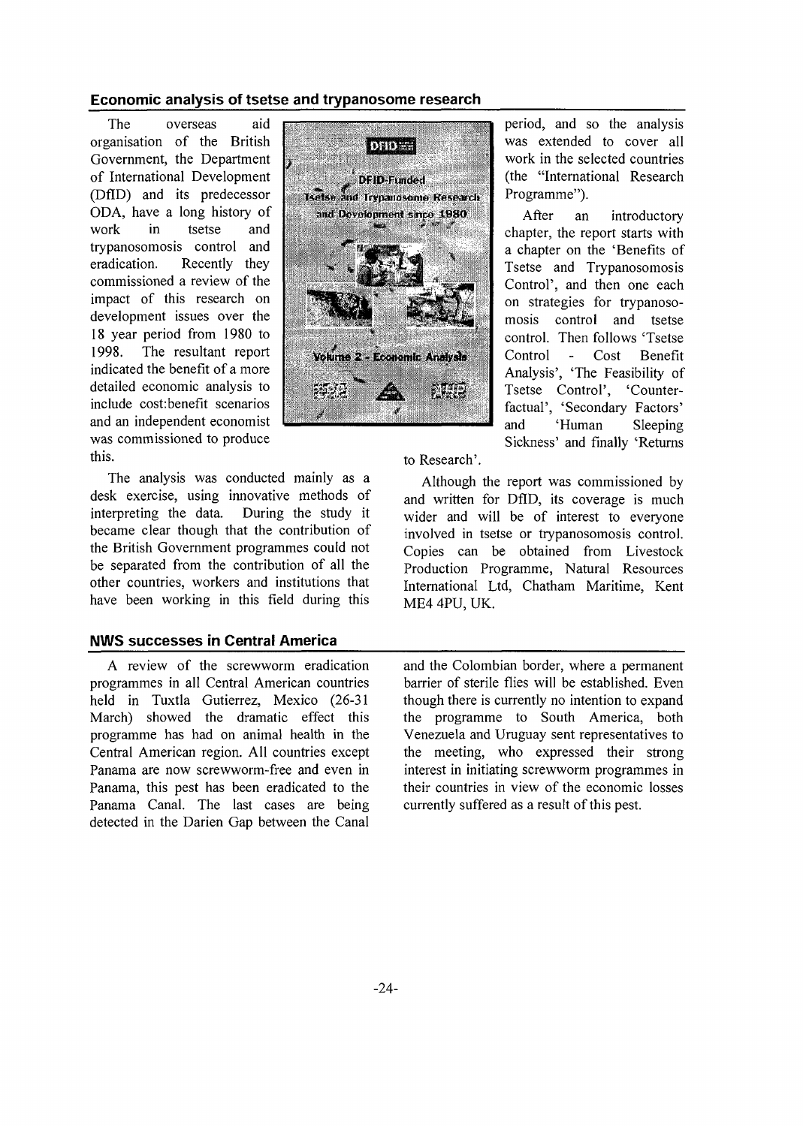#### Economic analysis of tsetse and trypanosome research

The overseas aid organisation of the British Government, the Department of International Development (DflD) and its predecessor ODA, have a long history of work in tsetse and trypanosomosis control and<br>eradication. Recently they Recently they commissioned a review of the impact of this research on development issues over the 18 year period from 1980 to<br>1998. The resultant report The resultant report indicated the benefit of a more detailed economic analysis to include cost:benefit scenarios and an independent economist was commissioned to produce this.

The analysis was conducted mainly as a desk exercise, using innovative methods of interpreting the data. During the study it became clear though that the contribution of the British Government programmes could not be separated from the contribution of all the other countries, workers and institutions that have been working in this field during this

# NWS successes in Central America

A review of the screwworm eradication programmes in all Central American countries held in Tuxtla Gutierrez, Mexico (26-31 March) showed the dramatic effect this programme has had on animal health in the Central American region. All countries except Panama are now screwworm-free and even in Panama, this pest has been eradicated to the Panama Canal. The last cases are being detected in the Darien Gap between the Canal



period, and so the analysis was extended to cover all work in the selected countries (the "International Research Programme").

After an introductory chapter, the report starts with a chapter on the 'Benefits of Tsetse and Trypanosomosis Control', and then one each on strategies for trypanosomosis control and tsetse control. Then follows 'Tsetse Control - Cost Benefit Analysis', 'The Feasibility of Tsetse Control', 'Counterfactual', 'Secondary Factors' and 'Human Sleeping Sickness' and finally 'Returns

to Research'.

Although the report was commissioned by and written for DflD, its coverage is much wider and will be of interest to everyone involved in tsetse or trypanosomosis control. Copies can be obtained from Livestock Production Programme, Natural Resources International Ltd, Chatham Maritime, Kent ME4 4PU, UK.

and the Colombian border, where a permanent barrier of sterile flies will be established. Even though there is currently no intention to expand the programme to South America, both Venezuela and Uruguay sent representatives to the meeting, who expressed their strong interest in initiating screwworm programmes in their countries in view of the economic losses currently suffered as a result of this pest.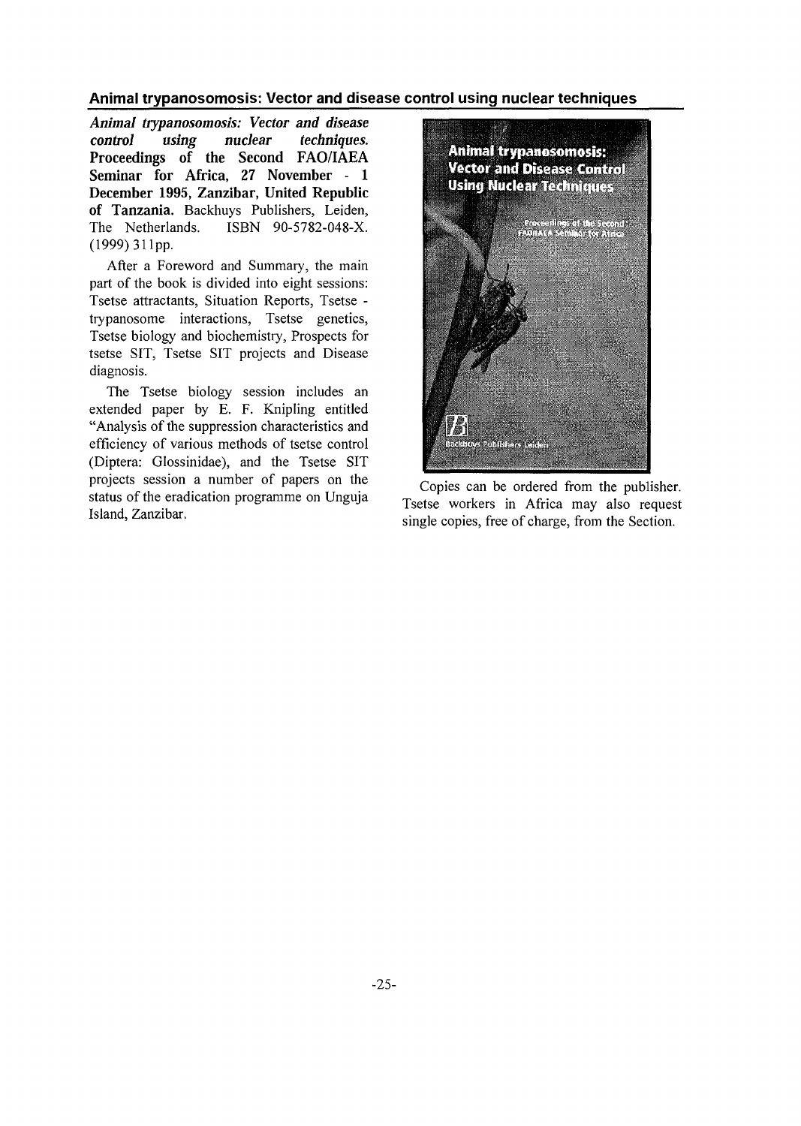Animal trypanosomosis: Vector and disease control using nuclear techniques

*Animal trypanosomosis: Vector and disease control using nuclear techniques.* **Proceedings of the Second FAO/IAEA Seminar for Africa, 27 November - 1 December 1995, Zanzibar, United Republic of Tanzania.** Backhuys Publishers, Leiden, The Netherlands. ISBN 90-5782-048-X. (1999) 311pp.

After a Foreword and Summary, the main part of the book is divided into eight sessions: Tsetse attractants, Situation Reports, Tsetse trypanosome interactions, Tsetse genetics, Tsetse biology and biochemistry, Prospects for tsetse SIT, Tsetse SIT projects and Disease diagnosis.

The Tsetse biology session includes an extended paper by E. F. Knipling entitled "Analysis of the suppression characteristics and efficiency of various methods of tsetse control (Diptera: Glossinidae), and the Tsetse SIT projects session a number of papers on the status of the eradication programme on Unguja Island, Zanzibar.



Copies can be ordered from the publisher. Tsetse workers in Africa may also request single copies, free of charge, from the Section.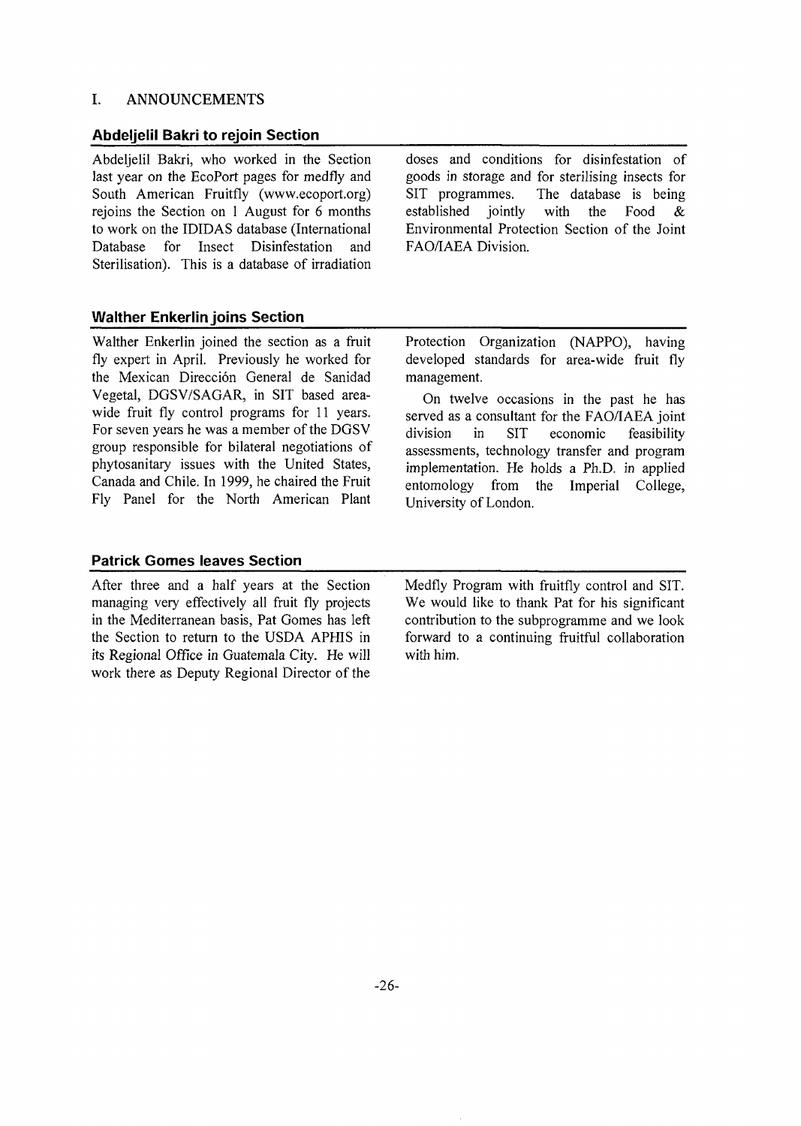#### I. ANNOUNCEMENTS

#### Abdeljelil Bakri to rejoin Section

Abdeljelil Bakri, who worked in the Section last year on the EcoPort pages for medfly and South American Fruitfly (www.ecoport.org) rejoins the Section on 1 August for 6 months to work on the IDIDAS database (International Database for Insect Disinfestation and Sterilisation). This is a database of irradiation doses and conditions for disinfestation of goods in storage and for sterilising insects for SIT programmes. The database is being established jointly with the Food & Environmental Protection Section of the Joint FAO/IAEA Division.

### Walther Enkerlin joins Section

Walther Enkerlin joined the section as a fruit fly expert in April. Previously he worked for the Mexican Dirección General de Sanidad Vegetal, DGSV/SAGAR, in SIT based areawide fruit fly control programs for 11 years. For seven years he was a member of the DGSV group responsible for bilateral negotiations of phytosanitary issues with the United States, Canada and Chile. In 1999, he chaired the Fruit Fly Panel for the North American Plant

Protection Organization (NAPPO), having developed standards for area-wide fruit fly management.

On twelve occasions in the past he has served as a consultant for the FAO/IAEA joint division in SIT economic feasibility assessments, technology transfer and program implementation. He holds a Ph.D. in applied entomology from the Imperial College, University of London.

#### Patrick Gomes leaves Section

After three and a half years at the Section managing very effectively all fruit fly projects in the Mediterranean basis, Pat Gomes has left the Section to return to the USDA APHIS in its Regional Office in Guatemala City. He will work there as Deputy Regional Director of the

Medfly Program with fruitfly control and SIT. We would like to thank Pat for his significant contribution to the subprogramme and we look forward to a continuing fruitful collaboration with him.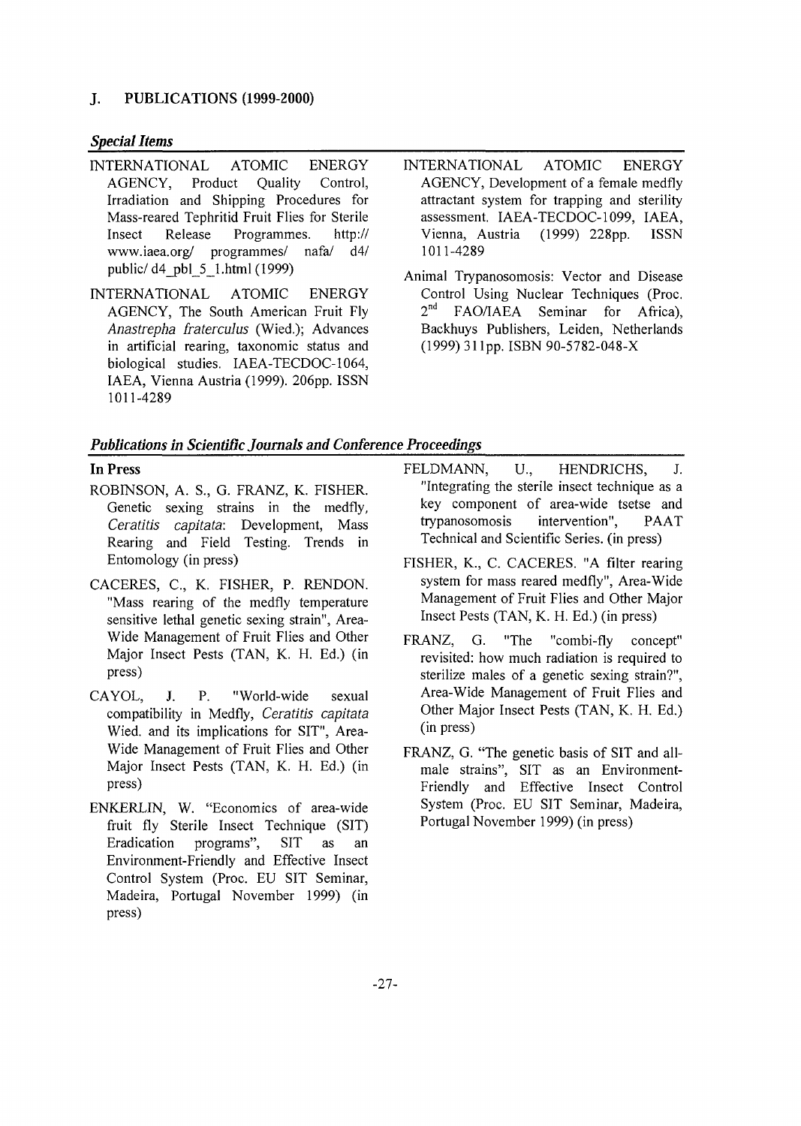### **J. PUBLICATIONS (1999-2000)**

## *Special Items*

- INTERNATIONAL ATOMIC ENERGY AGENCY, Product Quality Control, Irradiation and Shipping Procedures for Mass-reared Tephritid Fruit Flies for Sterile Insect Release Programmes. http:// www.iaea.org/ programmes/ nafa/ d4/ public/ d4\_pbl\_5\_l.html (1999)
- INTERNATIONAL ATOMIC ENERGY AGENCY, The South American Fruit Fly *Anastrepha fraterculus* (Wied.); Advances in artificial rearing, taxonomic status and biological studies. IAEA-TECDOC-1064, IAEA, Vienna Austria (1999). 206pp. ISSN 1011-4289
- INTERNATIONAL ATOMIC ENERGY AGENCY, Development of a female medfly attractant system for trapping and sterility assessment. IAEA-TECDOC-1099, IAEA, Vienna, Austria (1999) 228pp. ISSN 1011-4289
- Animal Trypanosomosis: Vector and Disease Control Using Nuclear Techniques (Proc. 2 nd FAO/IAEA Seminar for Africa), Backhuys Publishers, Leiden, Netherlands (1999) 31 lpp. ISBN 90-5782-048-X

# *Publications in Scientific Journals and Conference Proceedings*

# In Press

- ROBINSON, A. S., G. FRANZ, K. FISHER. Genetic sexing strains in the medfly, *Ceratitis capitata:* Development, Mass Rearing and Field Testing. Trends in Entomology (in press)
- CACERES, C, K. FISHER, P. RENDON. "Mass rearing of the medfly temperature sensitive lethal genetic sexing strain", Area-Wide Management of Fruit Flies and Other Major Insect Pests (TAN, K. H. Ed.) (in press)
- CAYOL, J. P. "World-wide sexual compatibility in Medfly, *Ceratitis capitata* Wied. and its implications for SIT", Area-Wide Management of Fruit Flies and Other Major Insect Pests (TAN, K. H. Ed.) (in press)
- ENKERLIN, W. "Economics of area-wide fruit fly Sterile Insect Technique (SIT) Eradication programs", SIT as an Environment-Friendly and Effective Insect Control System (Proc. EU SIT Seminar, Madeira, Portugal November 1999) (in press)
- FELDMANN, U., HENDRICHS, J. "Integrating the sterile insect technique as a key component of area-wide tsetse and trypanosomosis intervention", PA AT Technical and Scientific Series, (in press)
- FISHER, K., C. CACERES. "A filter rearing system for mass reared medfly", Area-Wide Management of Fruit Flies and Other Major Insect Pests (TAN, K. H. Ed.) (in press)
- FRANZ, G. "The "combi-fly concept" revisited: how much radiation is required to sterilize males of a genetic sexing strain?", Area-Wide Management of Fruit Flies and Other Major Insect Pests (TAN, K. H. Ed.) (in press)
- FRANZ, G. "The genetic basis of SIT and allmale strains", SIT as an Environment-Friendly and Effective Insect Control System (Proc. EU SIT Seminar, Madeira, Portugal November 1999) (in press)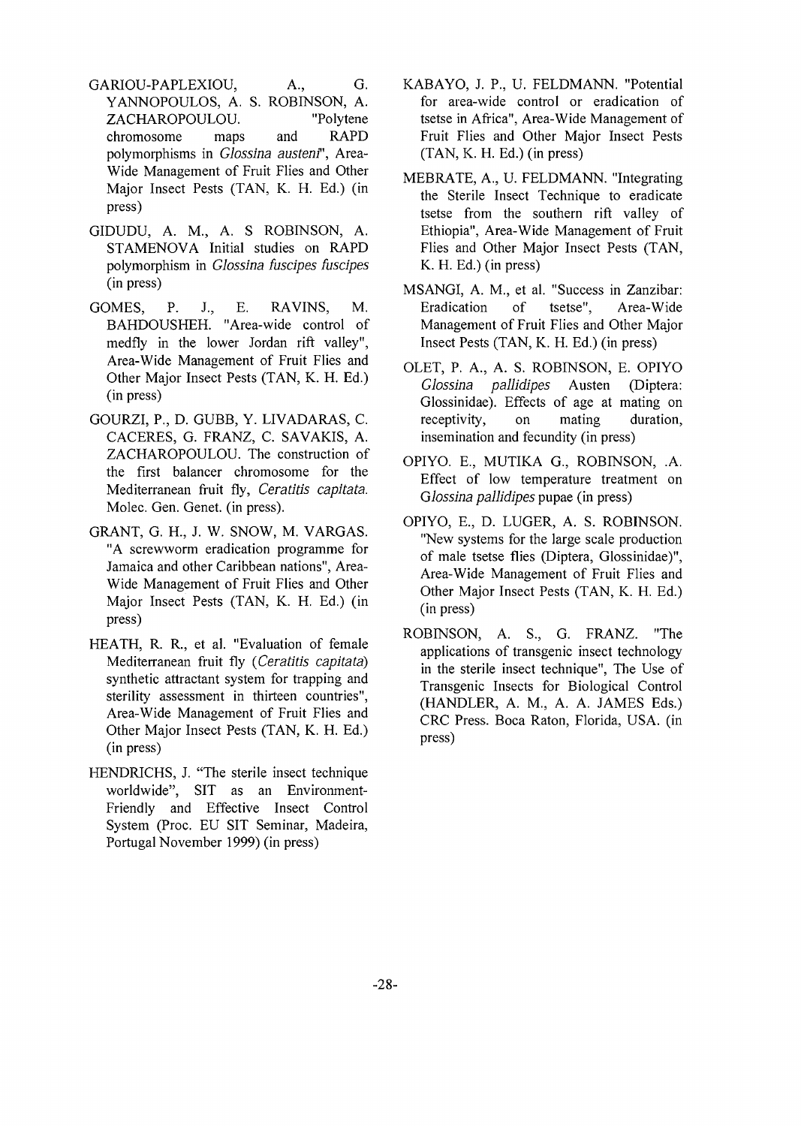- GARIOU-PAPLEXIOU, A., G. YANNOPOULOS, A. S. ROBINSON, A. ZACHAROPOULOU. chromosome maps and RAPD polymorphisms in *Glossina austenf',* Area-Wide Management of Fruit Flies and Other Major Insect Pests (TAN, K. H. Ed.) (in press)
- GIDUDU, A. M., A. S ROBINSON, A. STAMENOVA Initial studies on RAPD polymorphism in *Glossina fuscipes fuscipes* (in press)
- GOMES, P. J., E. RAVINS, M. BAHDOUSHEH. "Area-wide control of medfiy in the lower Jordan rift valley", Area-Wide Management of Fruit Flies and Other Major Insect Pests (TAN, K. H. Ed.) (in press)
- GOURZI, P., D. GUBB, Y. LIVADARAS, C. CACERES, G. FRANZ, C. SAVAKIS, A. ZACHAROPOULOU. The construction of the first balancer chromosome for the Mediterranean fruit fly, *Ceratitis capitata.* Molec. Gen. Genet, (in press).
- GRANT, G. H., J. W. SNOW, M. VARGAS. "A screwworm eradication programme for Jamaica and other Caribbean nations", Area-Wide Management of Fruit Flies and Other Major Insect Pests (TAN, K. H. Ed.) (in press)
- HEATH, R. R., et al. "Evaluation of female Mediterranean fruit fly *(Ceratitis capitata)* synthetic attractant system for trapping and sterility assessment in thirteen countries", Area-Wide Management of Fruit Flies and Other Major Insect Pests (TAN, K. H. Ed.) (in press)
- HENDRICHS, J. "The sterile insect technique worldwide", SIT as an Environment-Friendly and Effective Insect Control System (Proc. EU SIT Seminar, Madeira, Portugal November 1999) (in press)
- KABAYO, J. P., U. FELDMANN. "Potential for area-wide control or eradication of tsetse in Africa", Area-Wide Management of Fruit Flies and Other Major Insect Pests (TAN, K. H. Ed.) (in press)
- MEBRATE, A., U. FELDMANN. "Integrating the Sterile Insect Technique to eradicate tsetse from the southern rift valley of Ethiopia", Area-Wide Management of Fruit Flies and Other Major Insect Pests (TAN, K. H. Ed.) (in press)
- MSANGI, A. M., et al. "Success in Zanzibar: Eradication of tsetse", Area-Wide Management of Fruit Flies and Other Major Insect Pests (TAN, K. H. Ed.) (in press)
- OLET, P. A., A. S. ROBINSON, E. OPIYO *Glossina pallidipes* Austen (Diptera: Glossinidae). Effects of age at mating on receptivity, on mating duration, insemination and fecundity (in press)
- OPIYO. E., MUTIKA G., ROBINSON, .A. Effect of low temperature treatment on *Glossina pallidipes* pupae (in press)
- OPIYO, E., D. LUGER, A. S. ROBINSON. "New systems for the large scale production of male tsetse flies (Diptera, Glossinidae)", Area-Wide Management of Fruit Flies and Other Major Insect Pests (TAN, K. H. Ed.) (in press)
- ROBINSON, A. S., G. FRANZ. "The applications of transgenic insect technology in the sterile insect technique", The Use of Transgenic Insects for Biological Control (HANDLER, A. M., A. A. JAMES Eds.) CRC Press. Boca Raton, Florida, USA. (in press)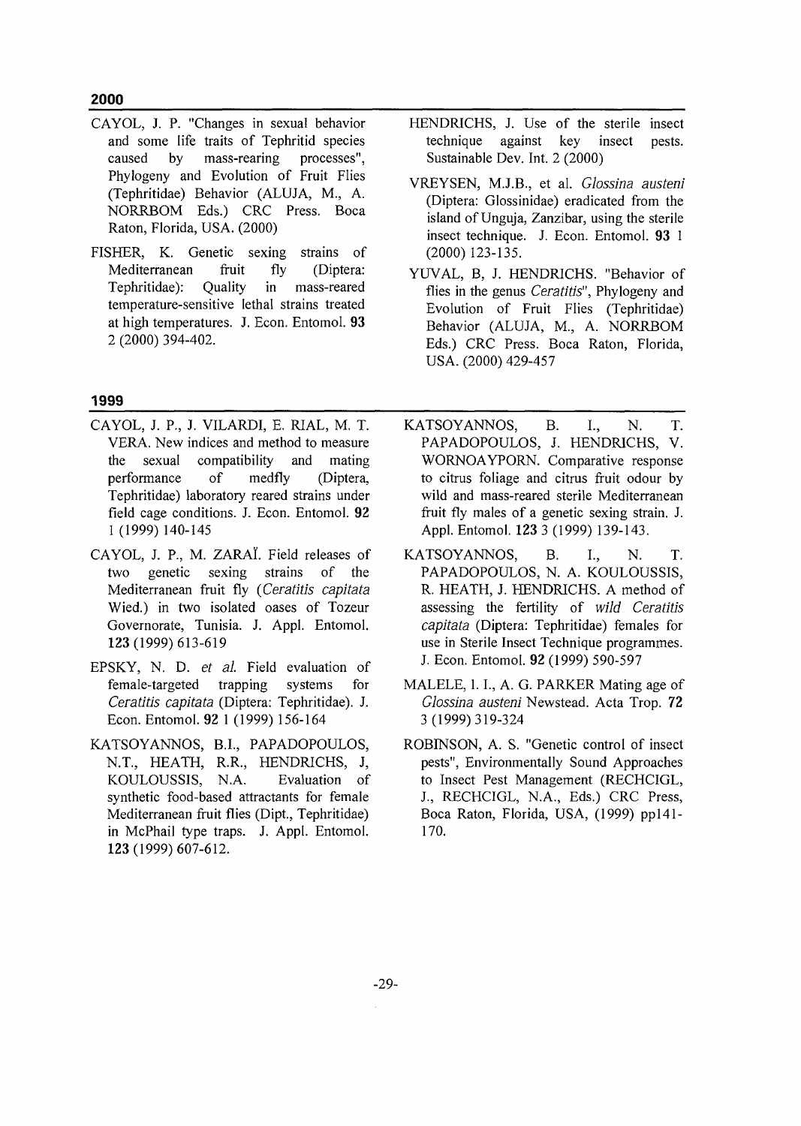**2000**

- CAYOL, J. P. "Changes in sexual behavior and some life traits of Tephritid species caused by mass-rearing processes", Phylogeny and Evolution of Fruit Flies (Tephritidae) Behavior (ALUJA, M., A. NORRBOM Eds.) CRC Press. Boca Raton, Florida, USA. (2000)
- FISHER, K. Genetic sexing strains of Mediterranean fruit fly (Diptera: Tephritidae): Quality in mass-reared temperature-sensitive lethal strains treated at high temperatures. J. Econ. Entomol. 93 2(2000)394-402.
- HENDRICHS, J. Use of the sterile insect technique against key insect pests. Sustainable Dev. Int. 2 (2000)
- VREYSEN, M.J.B., et al. *Glossina austeni* (Diptera: Glossinidae) eradicated from the island of Unguja, Zanzibar, using the sterile insect technique. J. Econ. Entomol. 93 1 (2000)123-135.
- YUVAL, B, J. HENDRICHS. "Behavior of flies in the genus *Ceratitis",* Phylogeny and Evolution of Fruit Flies (Tephritidae) Behavior (ALUJA, M., A. NORRBOM Eds.) CRC Press. Boca Raton, Florida, USA. (2000) 429-457

### 1999

- CAYOL, J. P., J. VILARDI, E. RIAL, M. T. VERA. New indices and method to measure the sexual compatibility and mating performance of medfly (Diptera, Tephritidae) laboratory reared strains under field cage conditions. J. Econ. Entomol. 92 1 (1999) 140-145
- CAYOL, J. P., M. ZARAI. Field releases of two genetic sexing strains of the Mediterranean fruit fly *(Ceratitis capitata* Wied.) in two isolated oases of Tozeur Governorate, Tunisia. J. Appl. Entomol. 123(1999)613-619
- EPSKY, N. D. *et al.* Field evaluation of female-targeted trapping systems for *Ceratitis capitata* (Diptera: Tephritidae). J. Econ. Entomol. 92 1 (1999) 156-164
- KATSOYANNOS, B.I., PAPADOPOULOS, N.T., HEATH, R.R., HENDRJCHS, J, KOULOUSSIS, N.A. Evaluation of synthetic food-based attractants for female Mediterranean fruit flies (Dipt, Tephritidae) in McPhail type traps. J. Appl. Entomol. 123(1999)607-612.
- KATSOYANNOS, B. I., N. T. PAPADOPOULOS, J. HENDRICHS, V. WORNOAYPORN. Comparative response to citrus foliage and citrus fruit odour by wild and mass-reared sterile Mediterranean fruit fly males of a genetic sexing strain. J. Appl. Entomol. 123 3 (1999) 139-143.
- KATSOYANNOS, B. I., N. T. PAPADOPOULOS, N. A. KOULOUSSIS, R. HEATH, J. HENDRICHS. A method of assessing the fertility of *wild Ceratitis capitata* (Diptera: Tephritidae) females for use in Sterile Insect Technique programmes. J. Econ. Entomol. 92 (1999) 590-597
- MALELE, I. I., A. G. PARKER Mating age of *Glossina austeni* Newstead. Acta Trop. 72 3(1999)319-324
- ROBINSON, A. S. "Genetic control of insect pests", Environmentally Sound Approaches to Insect Pest Management (RECHCIGL, J., RECHCIGL, N.A., Eds.) CRC Press, Boca Raton, Florida, USA, (1999) ppl41- 170.